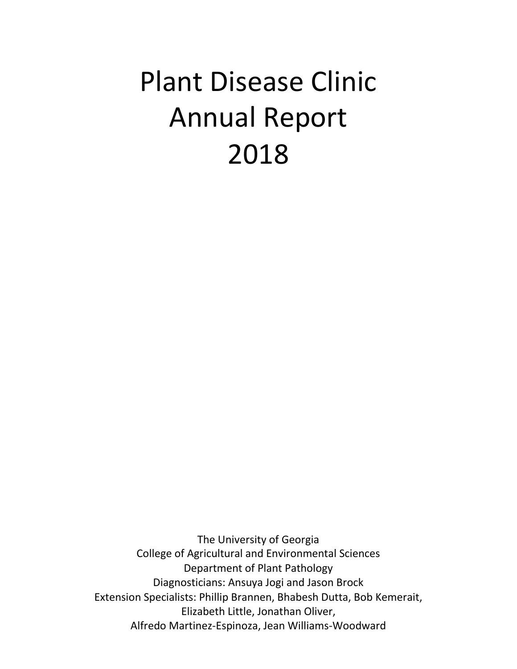# Plant Disease Clinic Annual Report 2018

The University of Georgia College of Agricultural and Environmental Sciences Department of Plant Pathology Diagnosticians: Ansuya Jogi and Jason Brock Extension Specialists: Phillip Brannen, Bhabesh Dutta, Bob Kemerait, Elizabeth Little, Jonathan Oliver, Alfredo Martinez-Espinoza, Jean Williams-Woodward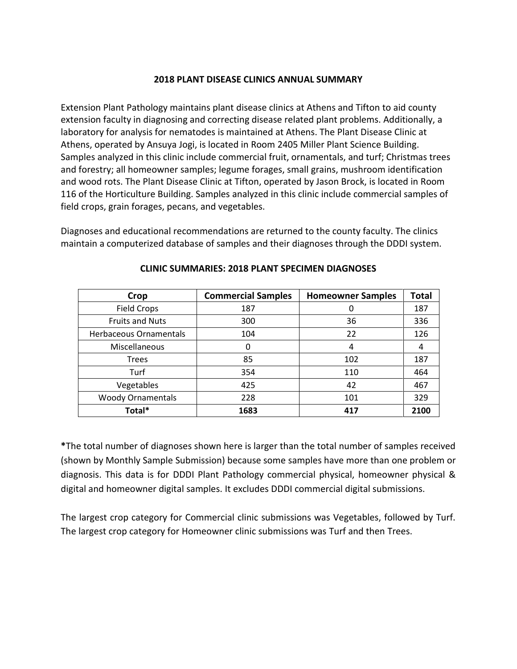#### **2018 PLANT DISEASE CLINICS ANNUAL SUMMARY**

Extension Plant Pathology maintains plant disease clinics at Athens and Tifton to aid county extension faculty in diagnosing and correcting disease related plant problems. Additionally, a laboratory for analysis for nematodes is maintained at Athens. The Plant Disease Clinic at Athens, operated by Ansuya Jogi, is located in Room 2405 Miller Plant Science Building. Samples analyzed in this clinic include commercial fruit, ornamentals, and turf; Christmas trees and forestry; all homeowner samples; legume forages, small grains, mushroom identification and wood rots. The Plant Disease Clinic at Tifton, operated by Jason Brock, is located in Room 116 of the Horticulture Building. Samples analyzed in this clinic include commercial samples of field crops, grain forages, pecans, and vegetables.

Diagnoses and educational recommendations are returned to the county faculty. The clinics maintain a computerized database of samples and their diagnoses through the DDDI system.

| Crop                     | <b>Commercial Samples</b> | <b>Homeowner Samples</b> | <b>Total</b> |
|--------------------------|---------------------------|--------------------------|--------------|
| <b>Field Crops</b>       | 187                       | 0                        | 187          |
| <b>Fruits and Nuts</b>   | 300                       | 36                       | 336          |
| Herbaceous Ornamentals   | 104                       | 22                       | 126          |
| Miscellaneous            | 0                         | 4                        | 4            |
| <b>Trees</b>             | 85                        | 102                      | 187          |
| Turf                     | 354                       | 110                      | 464          |
| Vegetables               | 425                       | 42                       | 467          |
| <b>Woody Ornamentals</b> | 228                       | 101                      | 329          |
| Total*                   | 1683                      | 417                      | 2100         |

#### **CLINIC SUMMARIES: 2018 PLANT SPECIMEN DIAGNOSES**

**\***The total number of diagnoses shown here is larger than the total number of samples received (shown by Monthly Sample Submission) because some samples have more than one problem or diagnosis. This data is for DDDI Plant Pathology commercial physical, homeowner physical & digital and homeowner digital samples. It excludes DDDI commercial digital submissions.

The largest crop category for Commercial clinic submissions was Vegetables, followed by Turf. The largest crop category for Homeowner clinic submissions was Turf and then Trees.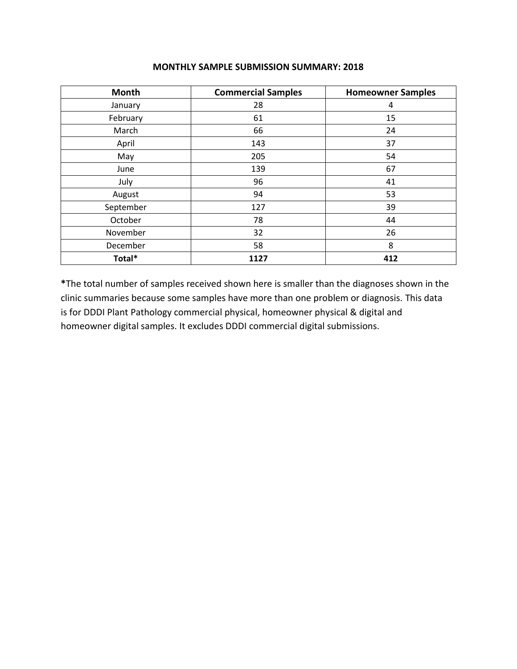| Month     | <b>Commercial Samples</b> | <b>Homeowner Samples</b> |
|-----------|---------------------------|--------------------------|
| January   | 28                        | 4                        |
| February  | 61                        | 15                       |
| March     | 66                        | 24                       |
| April     | 143                       | 37                       |
| May       | 205                       | 54                       |
| June      | 139                       | 67                       |
| July      | 96                        | 41                       |
| August    | 94                        | 53                       |
| September | 127                       | 39                       |
| October   | 78                        | 44                       |
| November  | 32                        | 26                       |
| December  | 58                        | 8                        |
| Total*    | 1127                      | 412                      |

#### **MONTHLY SAMPLE SUBMISSION SUMMARY: 2018**

**\***The total number of samples received shown here is smaller than the diagnoses shown in the clinic summaries because some samples have more than one problem or diagnosis. This data is for DDDI Plant Pathology commercial physical, homeowner physical & digital and homeowner digital samples. It excludes DDDI commercial digital submissions.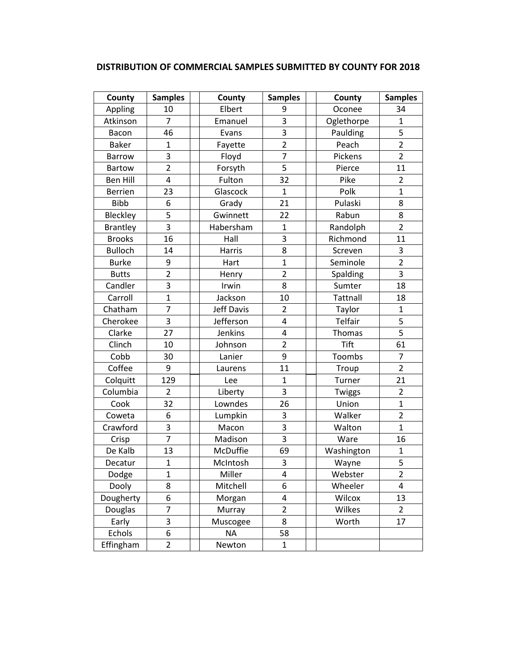|  | DISTRIBUTION OF COMMERCIAL SAMPLES SUBMITTED BY COUNTY FOR 2018 |
|--|-----------------------------------------------------------------|
|--|-----------------------------------------------------------------|

| County          | <b>Samples</b> | County            | <b>Samples</b>          | County          | <b>Samples</b> |
|-----------------|----------------|-------------------|-------------------------|-----------------|----------------|
| Appling         | 10             | Elbert            | 9                       | Oconee          | 34             |
| Atkinson        | $\overline{7}$ | Emanuel           | $\overline{\mathbf{3}}$ | Oglethorpe      | $\mathbf{1}$   |
| Bacon           | 46             | Evans             | 3                       | Paulding        | 5              |
| <b>Baker</b>    | $\overline{1}$ | Fayette           | $\overline{2}$          | Peach           | $\overline{2}$ |
| <b>Barrow</b>   | 3              | Floyd             | $\overline{7}$          | Pickens         | $\overline{2}$ |
| <b>Bartow</b>   | $\overline{2}$ | Forsyth           | 5                       | Pierce          | 11             |
| <b>Ben Hill</b> | 4              | Fulton            | 32                      | Pike            | $\overline{2}$ |
| <b>Berrien</b>  | 23             | Glascock          | $\mathbf{1}$            | Polk            | $\mathbf{1}$   |
| <b>Bibb</b>     | 6              | Grady             | 21                      | Pulaski         | 8              |
| Bleckley        | 5              | Gwinnett          | 22                      | Rabun           | 8              |
| <b>Brantley</b> | 3              | Habersham         | $\mathbf{1}$            | Randolph        | $\overline{2}$ |
| <b>Brooks</b>   | 16             | Hall              | 3                       | Richmond        | 11             |
| <b>Bulloch</b>  | 14             | Harris            | 8                       | Screven         | 3              |
| <b>Burke</b>    | 9              | Hart              | $\mathbf{1}$            | Seminole        | $\overline{2}$ |
| <b>Butts</b>    | $\overline{2}$ | Henry             | $\overline{2}$          | Spalding        | 3              |
| Candler         | 3              | Irwin             | 8                       | Sumter          | 18             |
| Carroll         | $\overline{1}$ | Jackson           | 10                      | <b>Tattnall</b> | 18             |
| Chatham         | 7              | <b>Jeff Davis</b> | $\overline{2}$          | Taylor          | $\mathbf{1}$   |
| Cherokee        | 3              | Jefferson         | $\overline{4}$          | Telfair         | 5              |
| Clarke          | 27             | Jenkins           | 4                       | Thomas          | 5              |
| Clinch          | 10             | Johnson           | $\overline{2}$          | <b>Tift</b>     | 61             |
| Cobb            | 30             | Lanier            | 9                       | Toombs          | $\overline{7}$ |
| Coffee          | 9              | Laurens           | 11                      | Troup           | $\overline{2}$ |
| Colquitt        | 129            | Lee               | $\mathbf{1}$            | Turner          | 21             |
| Columbia        | $\overline{2}$ | Liberty           | 3                       | Twiggs          | $\overline{2}$ |
| Cook            | 32             | Lowndes           | 26                      | Union           | $\mathbf{1}$   |
| Coweta          | 6              | Lumpkin           | 3                       | Walker          | $\overline{2}$ |
| Crawford        | 3              | Macon             | $\overline{\mathbf{3}}$ | Walton          | $\mathbf{1}$   |
| Crisp           | $\overline{7}$ | Madison           | 3                       | Ware            | 16             |
| De Kalb         | 13             | McDuffie          | 69                      | Washington      | $\mathbf{1}$   |
| Decatur         | $\mathbf{1}$   | McIntosh          | 3                       | Wayne           | 5              |
| Dodge           | $\mathbf{1}$   | Miller            | 4                       | Webster         | 2              |
| Dooly           | 8              | Mitchell          | 6                       | Wheeler         | 4              |
| Dougherty       | 6              | Morgan            | 4                       | Wilcox          | 13             |
| Douglas         | 7              | Murray            | $\overline{2}$          | Wilkes          | $\overline{2}$ |
| Early           | 3              | Muscogee          | 8                       | Worth           | 17             |
| Echols          | 6              | <b>NA</b>         | 58                      |                 |                |
| Effingham       | $\overline{2}$ | Newton            | $\mathbf{1}$            |                 |                |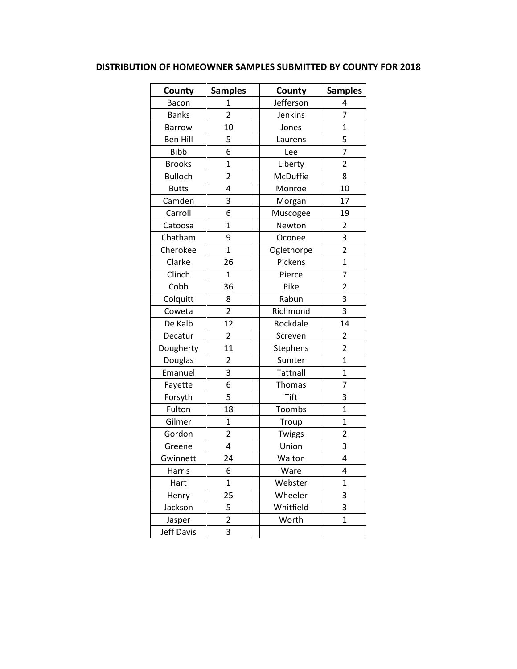## **DISTRIBUTION OF HOMEOWNER SAMPLES SUBMITTED BY COUNTY FOR 2018**

| County          | <b>Samples</b> | County      | <b>Samples</b> |
|-----------------|----------------|-------------|----------------|
| Bacon           | 1              | Jefferson   | 4              |
| <b>Banks</b>    | $\overline{2}$ | Jenkins     | $\overline{7}$ |
| <b>Barrow</b>   | 10             | Jones       | $\mathbf{1}$   |
| <b>Ben Hill</b> | 5              | Laurens     | 5              |
| <b>Bibb</b>     | 6              | Lee         | 7              |
| <b>Brooks</b>   | $\overline{1}$ | Liberty     | $\overline{2}$ |
| <b>Bulloch</b>  | $\overline{2}$ | McDuffie    | 8              |
| <b>Butts</b>    | 4              | Monroe      | 10             |
| Camden          | 3              | Morgan      | 17             |
| Carroll         | 6              | Muscogee    | 19             |
| Catoosa         | $\overline{1}$ | Newton      | $\overline{2}$ |
| Chatham         | 9              | Oconee      | 3              |
| Cherokee        | $\overline{1}$ | Oglethorpe  | $\overline{2}$ |
| Clarke          | 26             | Pickens     | $\mathbf 1$    |
| Clinch          | $\overline{1}$ | Pierce      | 7              |
| Cobb            | 36             | Pike        | $\overline{2}$ |
| Colquitt        | 8              | Rabun       | 3              |
| Coweta          | $\overline{2}$ | Richmond    | 3              |
| De Kalb         | 12             | Rockdale    | 14             |
| Decatur         | 2              | Screven     | 2              |
| Dougherty       | 11             | Stephens    | $\overline{2}$ |
| Douglas         | $\overline{2}$ | Sumter      | $\overline{1}$ |
| Emanuel         | 3              | Tattnall    | $\mathbf{1}$   |
| Fayette         | 6              | Thomas      | 7              |
| Forsyth         | 5              | <b>Tift</b> | 3              |
| Fulton          | 18             | Toombs      | $\overline{1}$ |
| Gilmer          | $\mathbf{1}$   | Troup       | $\overline{1}$ |
| Gordon          | $\overline{2}$ | Twiggs      | $\overline{2}$ |
| Greene          | 4              | Union       | 3              |
| Gwinnett        | 24             | Walton      | 4              |
| Harris          | 6              | Ware        | 4              |
| Hart            | $\mathbf 1$    | Webster     | $\mathbf 1$    |
| Henry           | 25             | Wheeler     | 3              |
| Jackson         | 5              | Whitfield   | 3              |
| Jasper          | $\overline{2}$ | Worth       | $\mathbf{1}$   |
| Jeff Davis      | 3              |             |                |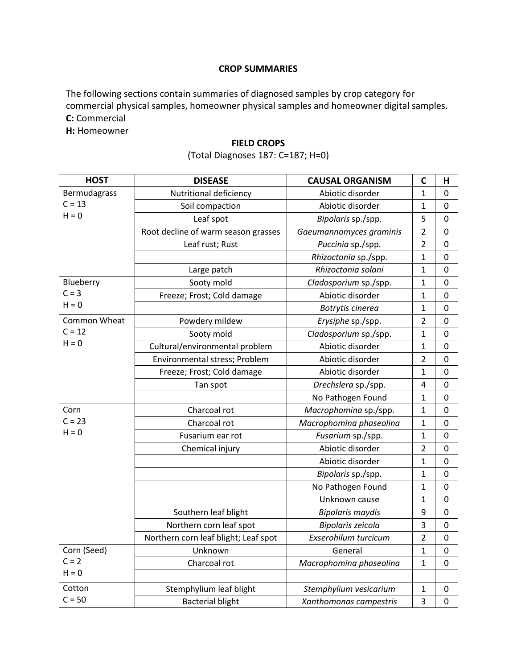#### **CROP SUMMARIES**

The following sections contain summaries of diagnosed samples by crop category for commercial physical samples, homeowner physical samples and homeowner digital samples. **C:** Commercial

**H:** Homeowner

#### **FIELD CROPS**

## (Total Diagnoses 187: C=187; H=0)

| <b>HOST</b>  | <b>DISEASE</b>                       | <b>CAUSAL ORGANISM</b>  | C                       | н                |
|--------------|--------------------------------------|-------------------------|-------------------------|------------------|
| Bermudagrass | Nutritional deficiency               | Abiotic disorder        | 1                       | 0                |
| $C = 13$     | Soil compaction                      | Abiotic disorder        | 1                       | $\mathbf 0$      |
| $H = 0$      | Leaf spot                            | Bipolaris sp./spp.      | 5                       | 0                |
|              | Root decline of warm season grasses  | Gaeumannomyces graminis | $\overline{2}$          | 0                |
|              | Leaf rust; Rust                      | Puccinia sp./spp.       | $\overline{2}$          | $\boldsymbol{0}$ |
|              |                                      | Rhizoctonia sp./spp.    | $\mathbf{1}$            | $\boldsymbol{0}$ |
|              | Large patch                          | Rhizoctonia solani      | 1                       | $\boldsymbol{0}$ |
| Blueberry    | Sooty mold                           | Cladosporium sp./spp.   | $\mathbf 1$             | $\overline{0}$   |
| $C = 3$      | Freeze; Frost; Cold damage           | Abiotic disorder        | 1                       | $\mathbf 0$      |
| $H = 0$      |                                      | Botrytis cinerea        | 1                       | 0                |
| Common Wheat | Powdery mildew                       | Erysiphe sp./spp.       | $\overline{2}$          | $\mathbf 0$      |
| $C = 12$     | Sooty mold                           | Cladosporium sp./spp.   | 1                       | $\mathbf 0$      |
| $H = 0$      | Cultural/environmental problem       | Abiotic disorder        | 1                       | $\mathbf 0$      |
|              | Environmental stress; Problem        | Abiotic disorder        | 2                       | $\mathbf 0$      |
|              | Freeze; Frost; Cold damage           | Abiotic disorder        | 1                       | 0                |
|              | Tan spot                             | Drechslera sp./spp.     | $\overline{\mathbf{4}}$ | $\mathbf 0$      |
|              |                                      | No Pathogen Found       | $\mathbf 1$             | $\mathbf 0$      |
| Corn         | Charcoal rot                         | Macrophomina sp./spp.   | $\mathbf 1$             | $\mathbf 0$      |
| $C = 23$     | Charcoal rot                         | Macrophomina phaseolina | 1                       | $\mathbf 0$      |
| $H = 0$      | Fusarium ear rot                     | Fusarium sp./spp.       | $\mathbf{1}$            | 0                |
|              | Chemical injury                      | Abiotic disorder        | $\overline{2}$          | $\mathbf 0$      |
|              |                                      | Abiotic disorder        | 1                       | $\mathbf 0$      |
|              |                                      | Bipolaris sp./spp.      | $\mathbf 1$             | $\mathbf 0$      |
|              |                                      | No Pathogen Found       | $\mathbf 1$             | $\mathbf 0$      |
|              |                                      | Unknown cause           | $\mathbf 1$             | $\boldsymbol{0}$ |
|              | Southern leaf blight                 | <b>Bipolaris maydis</b> | 9                       | $\mathbf 0$      |
|              | Northern corn leaf spot              | Bipolaris zeicola       | 3                       | $\mathbf 0$      |
|              | Northern corn leaf blight; Leaf spot | Exserohilum turcicum    | $\overline{2}$          | $\mathbf 0$      |
| Corn (Seed)  | Unknown                              | General                 | $\mathbf{1}$            | $\mathbf 0$      |
| $C = 2$      | Charcoal rot                         | Macrophomina phaseolina | $\mathbf 1$             | $\mathbf 0$      |
| $H = 0$      |                                      |                         |                         |                  |
| Cotton       | Stemphylium leaf blight              | Stemphylium vesicarium  | 1                       | $\boldsymbol{0}$ |
| $C = 50$     | <b>Bacterial blight</b>              | Xanthomonas campestris  | 3                       | $\mathbf 0$      |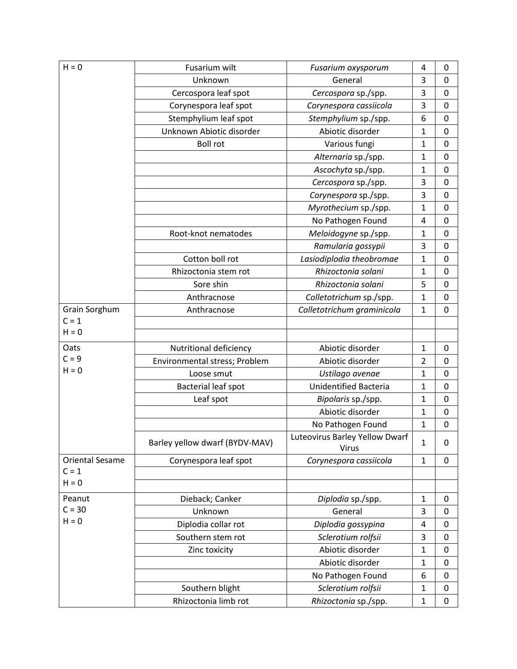| $H = 0$                | Fusarium wilt                  | Fusarium oxysporum                             | 4              | 0 |
|------------------------|--------------------------------|------------------------------------------------|----------------|---|
|                        | Unknown                        | General                                        | 3              | 0 |
|                        | Cercospora leaf spot           | Cercospora sp./spp.                            | 3              | 0 |
|                        | Corynespora leaf spot          | Corynespora cassiicola                         | 3              | 0 |
|                        | Stemphylium leaf spot          | Stemphylium sp./spp.                           | 6              | 0 |
|                        | Unknown Abiotic disorder       | Abiotic disorder                               | $\mathbf{1}$   | 0 |
|                        | <b>Boll rot</b>                | Various fungi                                  | $\mathbf{1}$   | 0 |
|                        |                                | Alternaria sp./spp.                            | $\mathbf{1}$   | 0 |
|                        |                                | Ascochyta sp./spp.                             | $\mathbf{1}$   | 0 |
|                        |                                | Cercospora sp./spp.                            | 3              | 0 |
|                        |                                | Corynespora sp./spp.                           | 3              | 0 |
|                        |                                | Myrothecium sp./spp.                           | 1              | 0 |
|                        |                                | No Pathogen Found                              | 4              | 0 |
|                        | Root-knot nematodes            | Meloidogyne sp./spp.                           | $\mathbf{1}$   | 0 |
|                        |                                | Ramularia gossypii                             | 3              | 0 |
|                        | Cotton boll rot                | Lasiodiplodia theobromae                       | $\mathbf{1}$   | 0 |
|                        | Rhizoctonia stem rot           | Rhizoctonia solani                             | $\mathbf{1}$   | 0 |
|                        | Sore shin                      | Rhizoctonia solani                             | 5              | 0 |
|                        | Anthracnose                    | Colletotrichum sp./spp.                        | $\mathbf{1}$   | 0 |
| Grain Sorghum          | Anthracnose                    | Colletotrichum graminicola                     | $\mathbf{1}$   | 0 |
| $C = 1$                |                                |                                                |                |   |
| $H = 0$                |                                |                                                |                |   |
| Oats                   | Nutritional deficiency         | Abiotic disorder                               | $\mathbf{1}$   | 0 |
| $C = 9$                | Environmental stress; Problem  | Abiotic disorder                               | $\overline{2}$ | 0 |
| $H = 0$                | Loose smut                     | Ustilago avenae                                | $\mathbf{1}$   | 0 |
|                        | Bacterial leaf spot            | Unidentified Bacteria                          | $\mathbf{1}$   | 0 |
|                        | Leaf spot                      | Bipolaris sp./spp.                             | $\mathbf{1}$   | 0 |
|                        |                                | Abiotic disorder                               | $\mathbf{1}$   | 0 |
|                        |                                | No Pathogen Found                              | 1              | 0 |
|                        | Barley yellow dwarf (BYDV-MAV) | Luteovirus Barley Yellow Dwarf<br><b>Virus</b> | $\mathbf{1}$   | 0 |
| <b>Oriental Sesame</b> | Corynespora leaf spot          | Corynespora cassiicola                         | $\mathbf{1}$   | 0 |
| $C = 1$                |                                |                                                |                |   |
| $H = 0$                |                                |                                                |                |   |
| Peanut                 | Dieback; Canker                | Diplodia sp./spp.                              | $\mathbf{1}$   | 0 |
| $C = 30$               | Unknown                        | General                                        | 3              | 0 |
| $H = 0$                | Diplodia collar rot            | Diplodia gossypina                             | 4              | 0 |
|                        | Southern stem rot              | Sclerotium rolfsii                             | 3              | 0 |
|                        | Zinc toxicity                  | Abiotic disorder                               | $\mathbf{1}$   | 0 |
|                        |                                | Abiotic disorder                               | $\mathbf{1}$   | 0 |
|                        |                                | No Pathogen Found                              | 6              | 0 |
|                        | Southern blight                | Sclerotium rolfsii                             | 1              | 0 |
|                        | Rhizoctonia limb rot           | Rhizoctonia sp./spp.                           | $\mathbf{1}$   | 0 |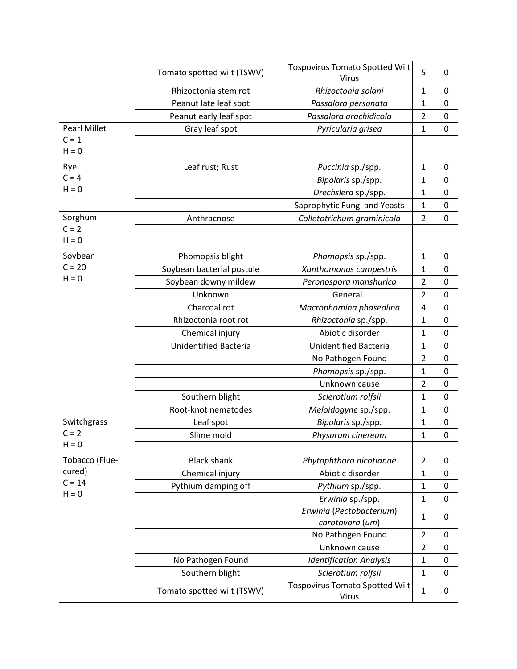|                     | Tomato spotted wilt (TSWV)   | <b>Tospovirus Tomato Spotted Wilt</b><br>Virus | 5              | 0 |
|---------------------|------------------------------|------------------------------------------------|----------------|---|
|                     | Rhizoctonia stem rot         | Rhizoctonia solani                             | 1              | 0 |
|                     | Peanut late leaf spot        | Passalora personata                            | $\mathbf{1}$   | 0 |
|                     | Peanut early leaf spot       | Passalora arachidicola                         | $\overline{2}$ | 0 |
| <b>Pearl Millet</b> | Gray leaf spot               | Pyricularia grisea                             | $\mathbf{1}$   | 0 |
| $C = 1$             |                              |                                                |                |   |
| $H = 0$             |                              |                                                |                |   |
| Rye                 | Leaf rust; Rust              | Puccinia sp./spp.                              | $\mathbf{1}$   | 0 |
| $C = 4$             |                              | Bipolaris sp./spp.                             | $\mathbf{1}$   | 0 |
| $H = 0$             |                              | Drechslera sp./spp.                            | $\mathbf{1}$   | 0 |
|                     |                              | Saprophytic Fungi and Yeasts                   | $\mathbf{1}$   | 0 |
| Sorghum             | Anthracnose                  | Colletotrichum graminicola                     | $\overline{2}$ | 0 |
| $C = 2$             |                              |                                                |                |   |
| $H = 0$             |                              |                                                |                |   |
| Soybean             | Phomopsis blight             | Phomopsis sp./spp.                             | $\mathbf{1}$   | 0 |
| $C = 20$            | Soybean bacterial pustule    | Xanthomonas campestris                         | 1              | 0 |
| $H = 0$             | Soybean downy mildew         | Peronospora manshurica                         | $\overline{2}$ | 0 |
|                     | Unknown                      | General                                        | $\overline{2}$ | 0 |
|                     | Charcoal rot                 | Macrophomina phaseolina                        | 4              | 0 |
|                     | Rhizoctonia root rot         | Rhizoctonia sp./spp.                           | $\mathbf{1}$   | 0 |
|                     | Chemical injury              | Abiotic disorder                               | $\mathbf{1}$   | 0 |
|                     | <b>Unidentified Bacteria</b> | <b>Unidentified Bacteria</b>                   | $\mathbf{1}$   | 0 |
|                     |                              | No Pathogen Found                              | $\overline{2}$ | 0 |
|                     |                              | Phomopsis sp./spp.                             | $\mathbf{1}$   | 0 |
|                     |                              | Unknown cause                                  | $\overline{2}$ | 0 |
|                     | Southern blight              | Sclerotium rolfsii                             | $\mathbf{1}$   | 0 |
|                     | Root-knot nematodes          | Meloidogyne sp./spp.                           | $\mathbf{1}$   | 0 |
| Switchgrass         | Leaf spot                    | Bipolaris sp./spp.                             | $\mathbf{1}$   | 0 |
| $C = 2$             | Slime mold                   | Physarum cinereum                              | $\mathbf{1}$   | 0 |
| $H = 0$             |                              |                                                |                |   |
| Tobacco (Flue-      | <b>Black shank</b>           | Phytophthora nicotianae                        | $\overline{2}$ | 0 |
| cured)              | Chemical injury              | Abiotic disorder                               | $\mathbf{1}$   | 0 |
| $C = 14$            | Pythium damping off          | Pythium sp./spp.                               | $\mathbf{1}$   | 0 |
| $H = 0$             |                              | Erwinia sp./spp.                               | $\mathbf{1}$   | 0 |
|                     |                              | Erwinia (Pectobacterium)                       | 1              | 0 |
|                     |                              | carotovora (um)                                |                |   |
|                     |                              | No Pathogen Found                              | $\overline{2}$ | 0 |
|                     |                              | Unknown cause                                  | $\overline{2}$ | 0 |
|                     | No Pathogen Found            | <b>Identification Analysis</b>                 | $\mathbf{1}$   | 0 |
|                     | Southern blight              | Sclerotium rolfsii                             | $\mathbf{1}$   | 0 |
|                     | Tomato spotted wilt (TSWV)   | <b>Tospovirus Tomato Spotted Wilt</b><br>Virus | $\mathbf{1}$   | 0 |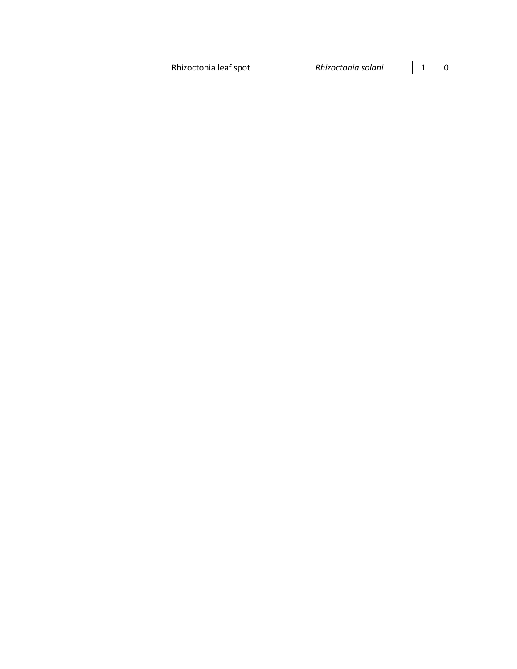| . <b>.</b><br>leat spot<br>Rhizoctonia leaf | ı solanı<br>snizoctonia <sup>.</sup> |  |  |
|---------------------------------------------|--------------------------------------|--|--|
|---------------------------------------------|--------------------------------------|--|--|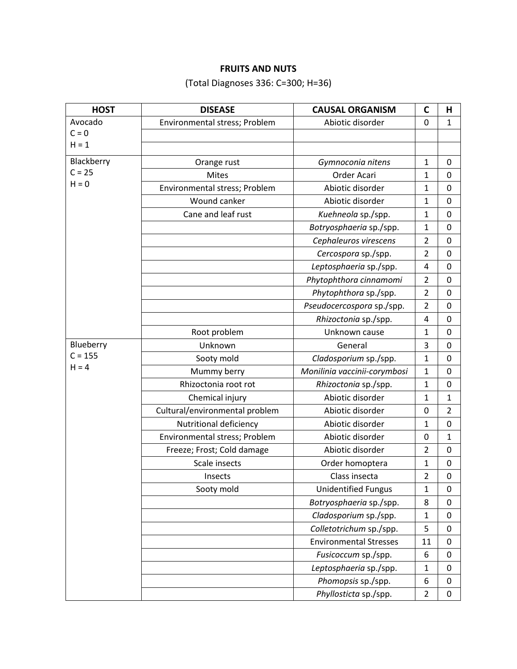## **FRUITS AND NUTS**

(Total Diagnoses 336: C=300; H=36)

| <b>HOST</b> | <b>DISEASE</b>                 | <b>CAUSAL ORGANISM</b>        | $\mathbf C$    | Н                |
|-------------|--------------------------------|-------------------------------|----------------|------------------|
| Avocado     | Environmental stress; Problem  | Abiotic disorder              | 0              | $\mathbf 1$      |
| $C = 0$     |                                |                               |                |                  |
| $H = 1$     |                                |                               |                |                  |
| Blackberry  | Orange rust                    | Gymnoconia nitens             | $\mathbf{1}$   | 0                |
| $C = 25$    | <b>Mites</b>                   | Order Acari                   | 1              | 0                |
| $H = 0$     | Environmental stress; Problem  | Abiotic disorder              | $\mathbf{1}$   | 0                |
|             | Wound canker                   | Abiotic disorder              | $\mathbf{1}$   | 0                |
|             | Cane and leaf rust             | Kuehneola sp./spp.            | $\mathbf{1}$   | 0                |
|             |                                | Botryosphaeria sp./spp.       | $\mathbf{1}$   | $\mathbf 0$      |
|             |                                | Cephaleuros virescens         | $\overline{2}$ | 0                |
|             |                                | Cercospora sp./spp.           | $\overline{2}$ | $\mathbf 0$      |
|             |                                | Leptosphaeria sp./spp.        | 4              | 0                |
|             |                                | Phytophthora cinnamomi        | $\overline{2}$ | 0                |
|             |                                | Phytophthora sp./spp.         | $\overline{2}$ | 0                |
|             |                                | Pseudocercospora sp./spp.     | $\overline{2}$ | 0                |
|             |                                | Rhizoctonia sp./spp.          | 4              | $\mathbf 0$      |
|             | Root problem                   | Unknown cause                 | $\mathbf{1}$   | 0                |
| Blueberry   | Unknown                        | General                       | 3              | 0                |
| $C = 155$   | Sooty mold                     | Cladosporium sp./spp.         | 1              | 0                |
| $H = 4$     | Mummy berry                    | Monilinia vaccinii-corymbosi  | 1              | 0                |
|             | Rhizoctonia root rot           | Rhizoctonia sp./spp.          | $\mathbf{1}$   | $\mathbf 0$      |
|             | Chemical injury                | Abiotic disorder              | $\mathbf{1}$   | $\mathbf 1$      |
|             | Cultural/environmental problem | Abiotic disorder              | 0              | $\overline{2}$   |
|             | Nutritional deficiency         | Abiotic disorder              | $\mathbf{1}$   | $\boldsymbol{0}$ |
|             | Environmental stress; Problem  | Abiotic disorder              | 0              | $\mathbf 1$      |
|             | Freeze; Frost; Cold damage     | Abiotic disorder              | $\overline{2}$ | 0                |
|             | Scale insects                  | Order homoptera               | $\mathbf{1}$   | 0                |
|             | Insects                        | Class insecta                 | $\overline{2}$ | $\mathbf 0$      |
|             | Sooty mold                     | <b>Unidentified Fungus</b>    | $\mathbf{1}$   | 0                |
|             |                                | Botryosphaeria sp./spp.       | 8              | 0                |
|             |                                | Cladosporium sp./spp.         | $\mathbf{1}$   | 0                |
|             |                                | Colletotrichum sp./spp.       | 5              | 0                |
|             |                                | <b>Environmental Stresses</b> | 11             | $\mathbf 0$      |
|             |                                | Fusicoccum sp./spp.           | 6              | 0                |
|             |                                | Leptosphaeria sp./spp.        | $\mathbf{1}$   | 0                |
|             |                                | Phomopsis sp./spp.            | 6              | 0                |
|             |                                | Phyllosticta sp./spp.         | $\overline{2}$ | 0                |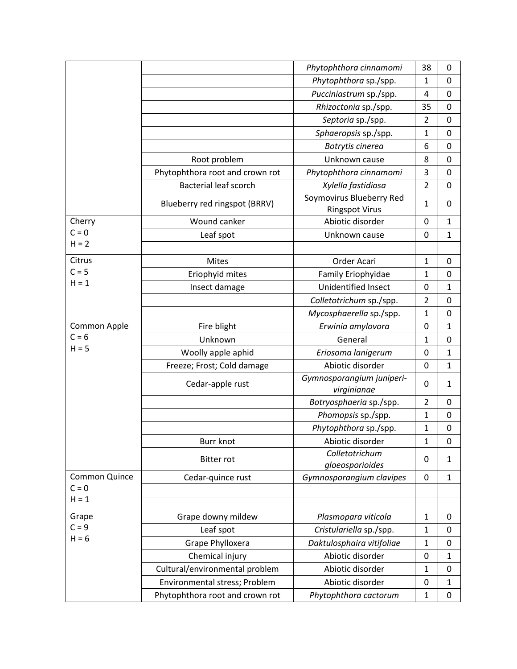|               |                                 | Phytophthora cinnamomi                            | 38             | 0            |
|---------------|---------------------------------|---------------------------------------------------|----------------|--------------|
|               |                                 | Phytophthora sp./spp.                             | 1              | 0            |
|               |                                 | Pucciniastrum sp./spp.                            | 4              | $\mathbf 0$  |
|               |                                 | Rhizoctonia sp./spp.                              | 35             | 0            |
|               |                                 | Septoria sp./spp.                                 | $\overline{2}$ | 0            |
|               |                                 | Sphaeropsis sp./spp.                              | $\mathbf{1}$   | 0            |
|               |                                 | Botrytis cinerea                                  | 6              | $\mathbf 0$  |
|               | Root problem                    | Unknown cause                                     | 8              | 0            |
|               | Phytophthora root and crown rot | Phytophthora cinnamomi                            | 3              | 0            |
|               | <b>Bacterial leaf scorch</b>    | Xylella fastidiosa                                | $\overline{2}$ | $\mathbf 0$  |
|               | Blueberry red ringspot (BRRV)   | Soymovirus Blueberry Red<br><b>Ringspot Virus</b> | 1              | 0            |
| Cherry        | Wound canker                    | Abiotic disorder                                  | $\mathbf 0$    | 1            |
| $C = 0$       | Leaf spot                       | Unknown cause                                     | 0              | 1            |
| $H = 2$       |                                 |                                                   |                |              |
| Citrus        | <b>Mites</b>                    | Order Acari                                       | $\mathbf 1$    | $\pmb{0}$    |
| $C = 5$       | Eriophyid mites                 | Family Eriophyidae                                | 1              | $\mathbf 0$  |
| $H = 1$       | Insect damage                   | <b>Unidentified Insect</b>                        | $\mathbf 0$    | 1            |
|               |                                 | Colletotrichum sp./spp.                           | $\overline{2}$ | 0            |
|               |                                 | Mycosphaerella sp./spp.                           | $\mathbf 1$    | $\mathbf 0$  |
| Common Apple  | Fire blight                     | Erwinia amylovora                                 | 0              | 1            |
| $C = 6$       | Unknown                         | General                                           | $\mathbf{1}$   | 0            |
| $H = 5$       | Woolly apple aphid              | Eriosoma lanigerum                                | $\mathbf 0$    | 1            |
|               | Freeze; Frost; Cold damage      | Abiotic disorder                                  | $\mathbf 0$    | 1            |
|               | Cedar-apple rust                | Gymnosporangium juniperi-<br>virginianae          | 0              | 1            |
|               |                                 | Botryosphaeria sp./spp.                           | $\overline{2}$ | 0            |
|               |                                 | Phomopsis sp./spp.                                | $\mathbf{1}$   | $\mathbf 0$  |
|               |                                 | Phytophthora sp./spp.                             | 1              | $\mathbf 0$  |
|               | <b>Burr knot</b>                | Abiotic disorder                                  | 1              | 0            |
|               | <b>Bitter rot</b>               | Colletotrichum<br>gloeosporioides                 | 0              | 1            |
| Common Quince | Cedar-quince rust               | Gymnosporangium clavipes                          | 0              | $\mathbf{1}$ |
| $C = 0$       |                                 |                                                   |                |              |
| $H = 1$       |                                 |                                                   |                |              |
| Grape         | Grape downy mildew              | Plasmopara viticola                               | $\mathbf{1}$   | 0            |
| $C = 9$       | Leaf spot                       | Cristulariella sp./spp.                           | $\mathbf{1}$   | 0            |
| $H = 6$       | Grape Phylloxera                | Daktulosphaira vitifoliae                         | $\mathbf{1}$   | 0            |
|               | Chemical injury                 | Abiotic disorder                                  | 0              | 1            |
|               | Cultural/environmental problem  | Abiotic disorder                                  | 1              | $\mathbf 0$  |
|               | Environmental stress; Problem   | Abiotic disorder                                  | 0              | 1            |
|               | Phytophthora root and crown rot | Phytophthora cactorum                             | $\mathbf{1}$   | $\mathbf 0$  |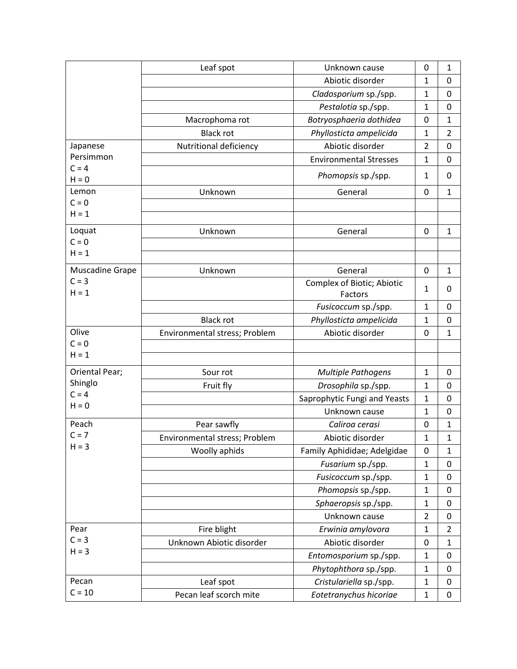|                    | Leaf spot                     | Unknown cause                 | 0              | 1              |
|--------------------|-------------------------------|-------------------------------|----------------|----------------|
|                    |                               | Abiotic disorder              | 1              | $\mathbf 0$    |
|                    |                               | Cladosporium sp./spp.         | $\mathbf{1}$   | 0              |
|                    |                               | Pestalotia sp./spp.           | 1              | $\mathbf{0}$   |
|                    | Macrophoma rot                | Botryosphaeria dothidea       | 0              | $\mathbf{1}$   |
|                    | <b>Black rot</b>              | Phyllosticta ampelicida       | 1              | $\overline{2}$ |
| Japanese           | Nutritional deficiency        | Abiotic disorder              | 2              | $\mathbf 0$    |
| Persimmon          |                               | <b>Environmental Stresses</b> | 1              | $\mathbf 0$    |
| $C = 4$<br>$H = 0$ |                               | Phomopsis sp./spp.            | $\mathbf{1}$   | 0              |
| Lemon              | Unknown                       | General                       | $\mathbf 0$    | 1              |
| $C = 0$            |                               |                               |                |                |
| $H = 1$            |                               |                               |                |                |
| Loquat             | Unknown                       | General                       | 0              | 1              |
| $C = 0$            |                               |                               |                |                |
| $H = 1$            |                               |                               |                |                |
| Muscadine Grape    | Unknown                       | General                       | 0              | 1              |
| $C = 3$            |                               | Complex of Biotic; Abiotic    | 1              | 0              |
| $H = 1$            |                               | Factors                       |                |                |
|                    |                               | Fusicoccum sp./spp.           | 1              | $\mathbf 0$    |
|                    | <b>Black rot</b>              | Phyllosticta ampelicida       | 1              | 0              |
| Olive              | Environmental stress; Problem | Abiotic disorder              | $\mathbf 0$    | $\mathbf{1}$   |
| $C = 0$<br>$H = 1$ |                               |                               |                |                |
|                    |                               |                               |                |                |
| Oriental Pear;     | Sour rot                      | <b>Multiple Pathogens</b>     | $\mathbf{1}$   | $\mathbf 0$    |
| Shinglo<br>$C = 4$ | Fruit fly                     | Drosophila sp./spp.           | $\mathbf 1$    | 0              |
| $H = 0$            |                               | Saprophytic Fungi and Yeasts  | 1              | 0              |
|                    |                               | Unknown cause                 | $\mathbf{1}$   | 0              |
| Peach              | Pear sawfly                   | Caliroa cerasi                | $\mathbf 0$    | 1              |
| $C = 7$            | Environmental stress; Problem | Abiotic disorder              | $\mathbf{1}$   | 1              |
| $H = 3$            | Woolly aphids                 | Family Aphididae; Adelgidae   | 0              | $\mathbf{1}$   |
|                    |                               | Fusarium sp./spp.             | $\mathbf{1}$   | 0              |
|                    |                               | Fusicoccum sp./spp.           | 1              | 0              |
|                    |                               | Phomopsis sp./spp.            | $\mathbf{1}$   | $\mathbf 0$    |
|                    |                               | Sphaeropsis sp./spp.          | $\mathbf 1$    | $\mathbf 0$    |
|                    |                               | Unknown cause                 | $\overline{2}$ | $\mathbf 0$    |
| Pear               | Fire blight                   | Erwinia amylovora             | $\mathbf{1}$   | $\overline{2}$ |
| $C = 3$            | Unknown Abiotic disorder      | Abiotic disorder              | $\mathbf 0$    | 1              |
| $H = 3$            |                               | Entomosporium sp./spp.        | $\mathbf{1}$   | 0              |
|                    |                               | Phytophthora sp./spp.         | 1              | 0              |
| Pecan              | Leaf spot                     | Cristulariella sp./spp.       | $\mathbf{1}$   | 0              |
| $C = 10$           | Pecan leaf scorch mite        | Eotetranychus hicoriae        | $\mathbf{1}$   | 0              |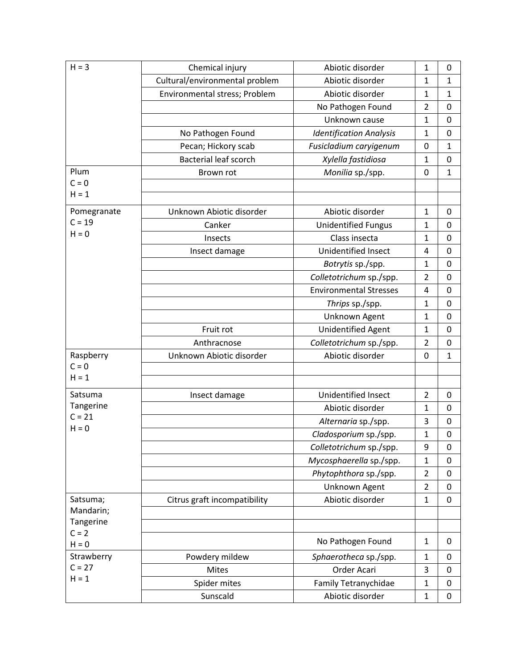| $H = 3$                | Chemical injury                | Abiotic disorder               | 1              | $\mathbf 0$  |
|------------------------|--------------------------------|--------------------------------|----------------|--------------|
|                        | Cultural/environmental problem | Abiotic disorder               | $\mathbf 1$    | 1            |
|                        | Environmental stress; Problem  | Abiotic disorder               | $\mathbf{1}$   | 1            |
|                        |                                | No Pathogen Found              | $\overline{2}$ | 0            |
|                        |                                | Unknown cause                  | $\mathbf{1}$   | $\mathbf 0$  |
|                        | No Pathogen Found              | <b>Identification Analysis</b> | $\mathbf{1}$   | 0            |
|                        | Pecan; Hickory scab            | Fusicladium caryigenum         | $\mathbf 0$    | $\mathbf{1}$ |
|                        | <b>Bacterial leaf scorch</b>   | Xylella fastidiosa             | $\mathbf{1}$   | 0            |
| Plum                   | Brown rot                      | Monilia sp./spp.               | $\mathbf 0$    | 1            |
| $C = 0$                |                                |                                |                |              |
| $H = 1$                |                                |                                |                |              |
| Pomegranate            | Unknown Abiotic disorder       | Abiotic disorder               | $\mathbf{1}$   | 0            |
| $C = 19$               | Canker                         | <b>Unidentified Fungus</b>     | 1              | $\mathbf 0$  |
| $H = 0$                | Insects                        | Class insecta                  | $\mathbf{1}$   | 0            |
|                        | Insect damage                  | Unidentified Insect            | 4              | $\mathbf 0$  |
|                        |                                | Botrytis sp./spp.              | $\mathbf{1}$   | 0            |
|                        |                                | Colletotrichum sp./spp.        | $\overline{2}$ | 0            |
|                        |                                | <b>Environmental Stresses</b>  | 4              | 0            |
|                        |                                | Thrips sp./spp.                | $\mathbf{1}$   | $\mathbf 0$  |
|                        |                                | Unknown Agent                  | $\mathbf{1}$   | 0            |
|                        | Fruit rot                      | <b>Unidentified Agent</b>      | $\mathbf{1}$   | 0            |
|                        | Anthracnose                    | Colletotrichum sp./spp.        | $\overline{2}$ | $\mathbf 0$  |
| Raspberry              | Unknown Abiotic disorder       | Abiotic disorder               | 0              | 1            |
| $C = 0$                |                                |                                |                |              |
| $H = 1$                |                                |                                |                |              |
| Satsuma                | Insect damage                  | Unidentified Insect            | $\overline{2}$ | 0            |
| Tangerine<br>$C = 21$  |                                | Abiotic disorder               | $\mathbf{1}$   | $\mathbf 0$  |
| $H = 0$                |                                | Alternaria sp./spp.            | 3              | 0            |
|                        |                                | Cladosporium sp./spp.          | $\mathbf{1}$   | 0            |
|                        |                                | Colletotrichum sp./spp.        | 9              | $\mathbf 0$  |
|                        |                                | Mycosphaerella sp./spp.        | $\mathbf{1}$   | $\mathbf 0$  |
|                        |                                | Phytophthora sp./spp.          | $\overline{2}$ | $\mathbf 0$  |
|                        |                                | Unknown Agent                  | $\overline{2}$ | 0            |
| Satsuma;               | Citrus graft incompatibility   | Abiotic disorder               | $\mathbf{1}$   | $\pmb{0}$    |
| Mandarin;<br>Tangerine |                                |                                |                |              |
| $C = 2$                |                                |                                |                |              |
| $H = 0$                |                                | No Pathogen Found              | $\mathbf{1}$   | 0            |
| Strawberry             | Powdery mildew                 | Sphaerotheca sp./spp.          | $\mathbf{1}$   | $\mathbf 0$  |
| $C = 27$               | Mites                          | Order Acari                    | 3              | $\mathbf 0$  |
| $H = 1$                | Spider mites                   | Family Tetranychidae           | $\mathbf{1}$   | 0            |
|                        | Sunscald                       | Abiotic disorder               | $\mathbf{1}$   | $\mathbf 0$  |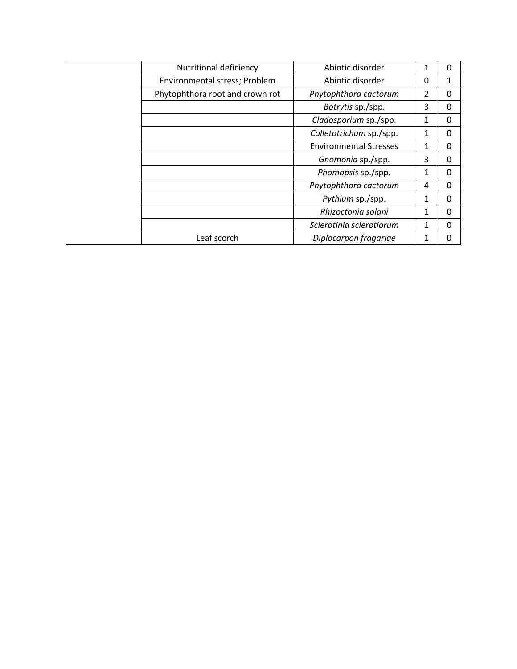| Nutritional deficiency          | Abiotic disorder              | 1        | 0        |
|---------------------------------|-------------------------------|----------|----------|
| Environmental stress; Problem   | Abiotic disorder              | $\Omega$ |          |
| Phytophthora root and crown rot | Phytophthora cactorum         | 2        | 0        |
|                                 | Botrytis sp./spp.             | 3        | 0        |
|                                 | Cladosporium sp./spp.         | 1        | $\Omega$ |
|                                 | Colletotrichum sp./spp.       | 1        | 0        |
|                                 | <b>Environmental Stresses</b> | 1        | 0        |
|                                 | Gnomonia sp./spp.             | 3        | 0        |
|                                 | Phomopsis sp./spp.            | 1        | Ω        |
|                                 | Phytophthora cactorum         | 4        | Ω        |
|                                 | Pythium sp./spp.              | 1        | $\Omega$ |
|                                 | Rhizoctonia solani            | 1        | 0        |
|                                 | Sclerotinia sclerotiorum      | 1        | Ω        |
| Leaf scorch                     | Diplocarpon fragariae         | 1        |          |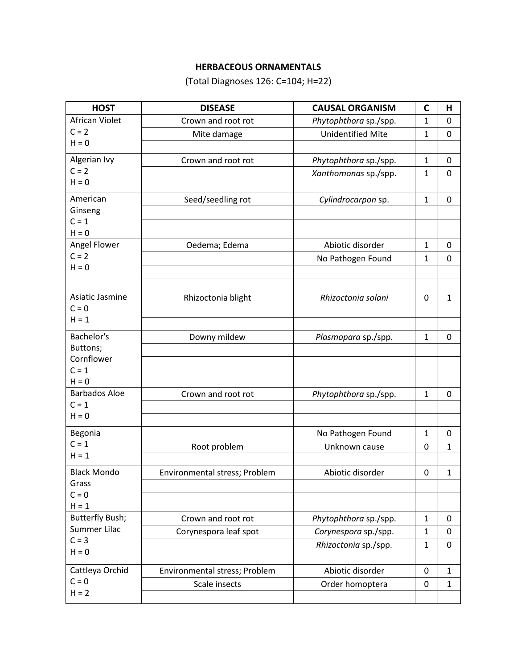# **HERBACEOUS ORNAMENTALS**

(Total Diagnoses 126: C=104; H=22)

| <b>HOST</b>                       | <b>DISEASE</b>                | <b>CAUSAL ORGANISM</b>   | $\mathbf C$  | Н                |
|-----------------------------------|-------------------------------|--------------------------|--------------|------------------|
| African Violet                    | Crown and root rot            | Phytophthora sp./spp.    | $\mathbf{1}$ | $\mathbf 0$      |
| $C = 2$                           | Mite damage                   | <b>Unidentified Mite</b> | $\mathbf{1}$ | $\boldsymbol{0}$ |
| $H = 0$                           |                               |                          |              |                  |
| Algerian Ivy                      | Crown and root rot            | Phytophthora sp./spp.    | 1            | 0                |
| $C = 2$                           |                               | Xanthomonas sp./spp.     | $\mathbf{1}$ | $\mathbf 0$      |
| $H = 0$                           |                               |                          |              |                  |
| American                          | Seed/seedling rot             | Cylindrocarpon sp.       | $\mathbf{1}$ | 0                |
| Ginseng                           |                               |                          |              |                  |
| $C = 1$                           |                               |                          |              |                  |
| $H = 0$                           |                               |                          |              |                  |
| Angel Flower<br>$C = 2$           | Oedema; Edema                 | Abiotic disorder         | 1            | 0                |
| $H = 0$                           |                               | No Pathogen Found        | $\mathbf{1}$ | $\mathbf 0$      |
|                                   |                               |                          |              |                  |
| Asiatic Jasmine                   |                               |                          |              |                  |
| $C = 0$                           | Rhizoctonia blight            | Rhizoctonia solani       | 0            | $\mathbf{1}$     |
| $H = 1$                           |                               |                          |              |                  |
| Bachelor's                        |                               |                          |              |                  |
| Buttons;                          | Downy mildew                  | Plasmopara sp./spp.      | $\mathbf{1}$ | 0                |
| Cornflower                        |                               |                          |              |                  |
| $C = 1$                           |                               |                          |              |                  |
| $H = 0$                           |                               |                          |              |                  |
| <b>Barbados Aloe</b>              | Crown and root rot            | Phytophthora sp./spp.    | $\mathbf{1}$ | 0                |
| $C = 1$                           |                               |                          |              |                  |
| $H = 0$                           |                               |                          |              |                  |
| Begonia                           |                               | No Pathogen Found        | $\mathbf{1}$ | 0                |
| $C = 1$                           | Root problem                  | Unknown cause            | 0            | $\mathbf 1$      |
| $H = 1$                           |                               |                          |              |                  |
| <b>Black Mondo</b>                | Environmental stress; Problem | Abiotic disorder         | 0            | $\mathbf{1}$     |
| Grass                             |                               |                          |              |                  |
| $C = 0$                           |                               |                          |              |                  |
| $H = 1$<br><b>Butterfly Bush;</b> |                               |                          | $\mathbf{1}$ |                  |
| Summer Lilac                      | Crown and root rot            | Phytophthora sp./spp.    |              | 0                |
| $C = 3$                           | Corynespora leaf spot         | Corynespora sp./spp.     | $\mathbf{1}$ | $\mathbf 0$      |
| $H = 0$                           |                               | Rhizoctonia sp./spp.     | $\mathbf{1}$ | 0                |
| Cattleya Orchid                   |                               | Abiotic disorder         | 0            |                  |
| $C = 0$                           | Environmental stress; Problem |                          |              | $\mathbf{1}$     |
| $H = 2$                           | Scale insects                 | Order homoptera          | 0            | $\mathbf{1}$     |
|                                   |                               |                          |              |                  |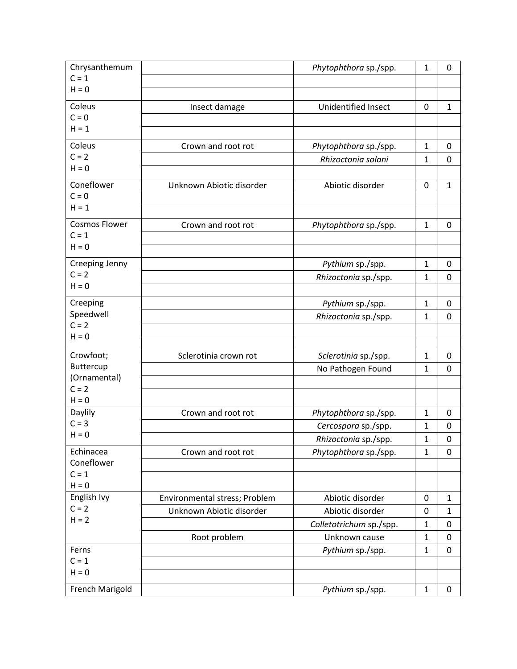| Chrysanthemum        |                               | Phytophthora sp./spp.   | $\mathbf{1}$ | 0            |
|----------------------|-------------------------------|-------------------------|--------------|--------------|
| $C = 1$              |                               |                         |              |              |
| $H = 0$              |                               |                         |              |              |
| Coleus               | Insect damage                 | Unidentified Insect     | $\mathbf 0$  | $\mathbf{1}$ |
| $C = 0$              |                               |                         |              |              |
| $H = 1$              |                               |                         |              |              |
| Coleus               | Crown and root rot            | Phytophthora sp./spp.   | $\mathbf{1}$ | 0            |
| $C = 2$              |                               | Rhizoctonia solani      | $\mathbf 1$  | 0            |
| $H = 0$              |                               |                         |              |              |
| Coneflower           | Unknown Abiotic disorder      | Abiotic disorder        | $\mathbf 0$  | $\mathbf{1}$ |
| $C = 0$              |                               |                         |              |              |
| $H = 1$              |                               |                         |              |              |
| <b>Cosmos Flower</b> | Crown and root rot            | Phytophthora sp./spp.   | $\mathbf{1}$ | 0            |
| $C = 1$              |                               |                         |              |              |
| $H = 0$              |                               |                         |              |              |
| Creeping Jenny       |                               | Pythium sp./spp.        | $\mathbf{1}$ | 0            |
| $C = 2$              |                               | Rhizoctonia sp./spp.    | $\mathbf 1$  | $\mathbf 0$  |
| $H = 0$              |                               |                         |              |              |
| Creeping             |                               | Pythium sp./spp.        | $\mathbf{1}$ | 0            |
| Speedwell            |                               | Rhizoctonia sp./spp.    | $\mathbf{1}$ | 0            |
| $C = 2$              |                               |                         |              |              |
| $H = 0$              |                               |                         |              |              |
| Crowfoot;            | Sclerotinia crown rot         | Sclerotinia sp./spp.    | $\mathbf{1}$ | 0            |
| Buttercup            |                               | No Pathogen Found       | $\mathbf{1}$ | $\mathbf 0$  |
| (Ornamental)         |                               |                         |              |              |
| $C = 2$              |                               |                         |              |              |
| $H = 0$<br>Daylily   | Crown and root rot            | Phytophthora sp./spp.   | $\mathbf{1}$ | 0            |
| $C = 3$              |                               | Cercospora sp./spp.     | 1            | 0            |
| $H = 0$              |                               | Rhizoctonia sp./spp.    | $\mathbf 1$  | 0            |
| Echinacea            | Crown and root rot            | Phytophthora sp./spp.   | $\mathbf{1}$ | 0            |
| Coneflower           |                               |                         |              |              |
| $C = 1$              |                               |                         |              |              |
| $H = 0$              |                               |                         |              |              |
| English Ivy          | Environmental stress; Problem | Abiotic disorder        | 0            | $\mathbf{1}$ |
| $C = 2$              | Unknown Abiotic disorder      | Abiotic disorder        | 0            | $\mathbf{1}$ |
| $H = 2$              |                               | Colletotrichum sp./spp. | $\mathbf 1$  | 0            |
|                      | Root problem                  | Unknown cause           | $\mathbf 1$  | 0            |
| Ferns                |                               | Pythium sp./spp.        | $\mathbf{1}$ | 0            |
| $C = 1$              |                               |                         |              |              |
| $H = 0$              |                               |                         |              |              |
| French Marigold      |                               | Pythium sp./spp.        | $\mathbf{1}$ | 0            |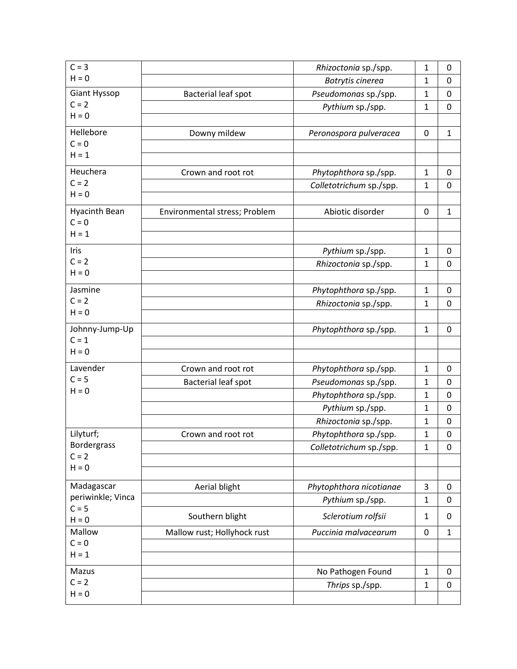| $C = 3$                         |                               | Rhizoctonia sp./spp.    | $\mathbf{1}$ | 0            |
|---------------------------------|-------------------------------|-------------------------|--------------|--------------|
| $H = 0$                         |                               | Botrytis cinerea        | 1            | 0            |
| Giant Hyssop                    | Bacterial leaf spot           | Pseudomonas sp./spp.    | $\mathbf{1}$ | 0            |
| $C = 2$                         |                               | Pythium sp./spp.        | $\mathbf{1}$ | $\mathbf 0$  |
| $H = 0$                         |                               |                         |              |              |
| Hellebore                       | Downy mildew                  | Peronospora pulveracea  | 0            | $\mathbf{1}$ |
| $C = 0$                         |                               |                         |              |              |
| $H = 1$                         |                               |                         |              |              |
| Heuchera                        | Crown and root rot            | Phytophthora sp./spp.   | $\mathbf{1}$ | 0            |
| $C = 2$                         |                               | Colletotrichum sp./spp. | $\mathbf{1}$ | $\mathbf 0$  |
| $H = 0$                         |                               |                         |              |              |
| <b>Hyacinth Bean</b>            | Environmental stress; Problem | Abiotic disorder        | 0            | $\mathbf{1}$ |
| $C = 0$                         |                               |                         |              |              |
| $H = 1$                         |                               |                         |              |              |
| Iris                            |                               | Pythium sp./spp.        | $\mathbf{1}$ | 0            |
| $C = 2$                         |                               | Rhizoctonia sp./spp.    | $\mathbf{1}$ | 0            |
| $H = 0$                         |                               |                         |              |              |
| Jasmine                         |                               | Phytophthora sp./spp.   | $\mathbf{1}$ | 0            |
| $C = 2$                         |                               | Rhizoctonia sp./spp.    | $\mathbf{1}$ | $\mathbf 0$  |
| $H = 0$                         |                               |                         |              |              |
| Johnny-Jump-Up                  |                               | Phytophthora sp./spp.   | $\mathbf{1}$ | 0            |
| $C = 1$<br>$H = 0$              |                               |                         |              |              |
|                                 |                               |                         |              |              |
| Lavender                        | Crown and root rot            | Phytophthora sp./spp.   | $\mathbf{1}$ | $\mathbf 0$  |
| $C = 5$<br>$H = 0$              | <b>Bacterial leaf spot</b>    | Pseudomonas sp./spp.    | $\mathbf{1}$ | 0            |
|                                 |                               | Phytophthora sp./spp.   | $\mathbf{1}$ | $\mathbf 0$  |
|                                 |                               | Pythium sp./spp.        | 1            | 0            |
|                                 |                               | Rhizoctonia sp./spp.    | $\mathbf{1}$ | 0            |
| Lilyturf;                       | Crown and root rot            | Phytophthora sp./spp.   | 1            | $\mathbf 0$  |
| <b>Bordergrass</b><br>$C = 2$   |                               | Colletotrichum sp./spp. | $\mathbf{1}$ | 0            |
| $H = 0$                         |                               |                         |              |              |
|                                 |                               |                         |              |              |
| Madagascar<br>periwinkle; Vinca | Aerial blight                 | Phytophthora nicotianae | 3            | 0            |
| $C = 5$                         |                               | Pythium sp./spp.        | $\mathbf{1}$ | $\mathbf 0$  |
| $H = 0$                         | Southern blight               | Sclerotium rolfsii      | 1            | 0            |
| Mallow                          | Mallow rust; Hollyhock rust   | Puccinia malvacearum    | 0            | $\mathbf{1}$ |
| $C = 0$                         |                               |                         |              |              |
| $H = 1$                         |                               |                         |              |              |
| Mazus                           |                               | No Pathogen Found       | $\mathbf{1}$ | 0            |
| $C = 2$                         |                               | Thrips sp./spp.         | $\mathbf{1}$ | $\pmb{0}$    |
| $H = 0$                         |                               |                         |              |              |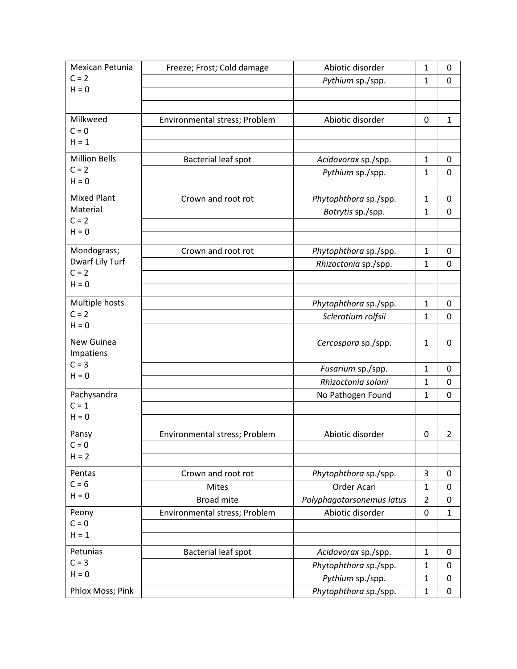| Mexican Petunia                | Freeze; Frost; Cold damage    | Abiotic disorder          | 1              | $\mathbf 0$    |
|--------------------------------|-------------------------------|---------------------------|----------------|----------------|
| $C = 2$                        |                               | Pythium sp./spp.          | $\mathbf{1}$   | 0              |
| $H = 0$                        |                               |                           |                |                |
|                                |                               |                           |                |                |
| Milkweed                       | Environmental stress; Problem | Abiotic disorder          | $\mathbf 0$    | 1              |
| $C = 0$                        |                               |                           |                |                |
| $H = 1$                        |                               |                           |                |                |
| <b>Million Bells</b>           | <b>Bacterial leaf spot</b>    | Acidovorax sp./spp.       | $\mathbf{1}$   | 0              |
| $C = 2$                        |                               | Pythium sp./spp.          | $\mathbf{1}$   | 0              |
| $H = 0$                        |                               |                           |                |                |
| <b>Mixed Plant</b>             | Crown and root rot            | Phytophthora sp./spp.     | $\mathbf{1}$   | 0              |
| Material                       |                               | Botrytis sp./spp.         | $\mathbf{1}$   | $\mathbf 0$    |
| $C = 2$                        |                               |                           |                |                |
| $H = 0$                        |                               |                           |                |                |
|                                |                               |                           |                |                |
| Mondograss;<br>Dwarf Lily Turf | Crown and root rot            | Phytophthora sp./spp.     | $\mathbf{1}$   | $\mathbf 0$    |
| $C = 2$                        |                               | Rhizoctonia sp./spp.      | $\mathbf{1}$   | $\mathbf 0$    |
| $H = 0$                        |                               |                           |                |                |
|                                |                               |                           |                |                |
| Multiple hosts                 |                               | Phytophthora sp./spp.     | $\mathbf{1}$   | 0              |
| $C = 2$                        |                               | Sclerotium rolfsii        | $\mathbf{1}$   | 0              |
| $H = 0$                        |                               |                           |                |                |
| New Guinea                     |                               | Cercospora sp./spp.       | $\mathbf{1}$   | $\pmb{0}$      |
| Impatiens                      |                               |                           |                |                |
| $C = 3$                        |                               | Fusarium sp./spp.         | $\mathbf{1}$   | 0              |
| $H = 0$                        |                               | Rhizoctonia solani        | 1              | $\mathbf 0$    |
| Pachysandra                    |                               | No Pathogen Found         | $\mathbf{1}$   | 0              |
| $C = 1$                        |                               |                           |                |                |
| $H = 0$                        |                               |                           |                |                |
| Pansy                          | Environmental stress; Problem | Abiotic disorder          | $\mathbf 0$    | $\overline{2}$ |
| $C = 0$                        |                               |                           |                |                |
| $H = 2$                        |                               |                           |                |                |
| Pentas                         | Crown and root rot            |                           | 3              | $\mathbf 0$    |
| $C = 6$                        |                               | Phytophthora sp./spp.     |                |                |
| $H = 0$                        | <b>Mites</b>                  | Order Acari               | $\mathbf{1}$   | 0              |
|                                | <b>Broad mite</b>             | Polyphagotarsonemus latus | $\overline{2}$ | $\pmb{0}$      |
| Peony                          | Environmental stress; Problem | Abiotic disorder          | 0              | $\mathbf{1}$   |
| $C = 0$<br>$H = 1$             |                               |                           |                |                |
|                                |                               |                           |                |                |
| Petunias                       | Bacterial leaf spot           | Acidovorax sp./spp.       | $\mathbf 1$    | 0              |
| $C = 3$                        |                               | Phytophthora sp./spp.     | $\mathbf{1}$   | $\mathbf 0$    |
| $H = 0$                        |                               | Pythium sp./spp.          | $\mathbf{1}$   | 0              |
| Phlox Moss; Pink               |                               | Phytophthora sp./spp.     | $\mathbf{1}$   | $\pmb{0}$      |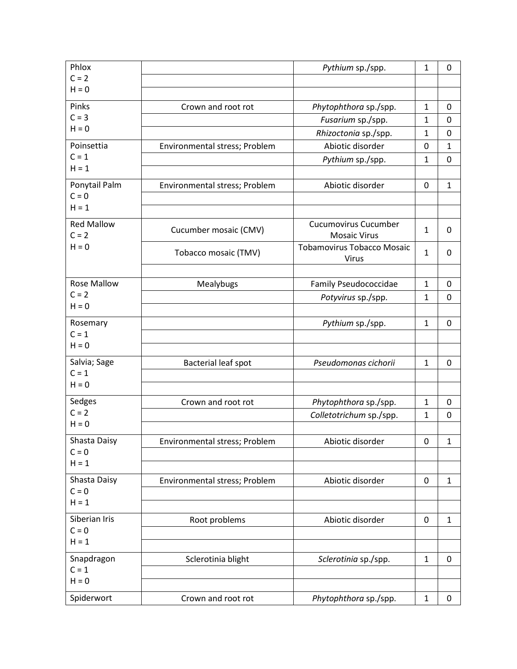| Phlox                        |                               | Pythium sp./spp.                                   | $\mathbf 1$  | 0            |
|------------------------------|-------------------------------|----------------------------------------------------|--------------|--------------|
| $C = 2$                      |                               |                                                    |              |              |
| $H = 0$                      |                               |                                                    |              |              |
| Pinks                        | Crown and root rot            | Phytophthora sp./spp.                              | $\mathbf 1$  | 0            |
| $C = 3$                      |                               | Fusarium sp./spp.                                  | $\mathbf{1}$ | 0            |
| $H = 0$                      |                               | Rhizoctonia sp./spp.                               | 1            | 0            |
| Poinsettia                   | Environmental stress; Problem | Abiotic disorder                                   | $\mathbf 0$  | 1            |
| $C = 1$                      |                               | Pythium sp./spp.                                   | $\mathbf 1$  | $\mathbf 0$  |
| $H = 1$                      |                               |                                                    |              |              |
| Ponytail Palm                | Environmental stress; Problem | Abiotic disorder                                   | $\mathbf 0$  | $\mathbf{1}$ |
| $C = 0$                      |                               |                                                    |              |              |
| $H = 1$                      |                               |                                                    |              |              |
| <b>Red Mallow</b><br>$C = 2$ | Cucumber mosaic (CMV)         | <b>Cucumovirus Cucumber</b><br><b>Mosaic Virus</b> | $\mathbf{1}$ | 0            |
| $H = 0$                      | Tobacco mosaic (TMV)          | <b>Tobamovirus Tobacco Mosaic</b><br>Virus         | $\mathbf{1}$ | 0            |
|                              |                               |                                                    |              |              |
| <b>Rose Mallow</b>           | Mealybugs                     | Family Pseudococcidae                              | $\mathbf{1}$ | 0            |
| $C = 2$<br>$H = 0$           |                               | Potyvirus sp./spp.                                 | $\mathbf{1}$ | $\mathbf 0$  |
|                              |                               |                                                    |              |              |
| Rosemary                     |                               | Pythium sp./spp.                                   | $\mathbf{1}$ | $\mathbf 0$  |
| $C = 1$<br>$H = 0$           |                               |                                                    |              |              |
|                              |                               |                                                    |              |              |
| Salvia; Sage<br>$C = 1$      | Bacterial leaf spot           | Pseudomonas cichorii                               | $\mathbf{1}$ | $\mathbf 0$  |
| $H = 0$                      |                               |                                                    |              |              |
|                              |                               |                                                    |              |              |
| Sedges<br>$C = 2$            | Crown and root rot            | Phytophthora sp./spp.                              | $\mathbf{1}$ | $\mathbf 0$  |
| $H = 0$                      |                               | Colletotrichum sp./spp.                            | $\mathbf 1$  | $\mathbf 0$  |
| Shasta Daisy                 |                               |                                                    |              |              |
| $C = 0$                      | Environmental stress; Problem | Abiotic disorder                                   | 0            | 1            |
| $H = 1$                      |                               |                                                    |              |              |
|                              |                               |                                                    |              |              |
| Shasta Daisy<br>$C = 0$      | Environmental stress; Problem | Abiotic disorder                                   | 0            | $\mathbf{1}$ |
| $H = 1$                      |                               |                                                    |              |              |
| Siberian Iris                |                               |                                                    | 0            |              |
| $C = 0$                      | Root problems                 | Abiotic disorder                                   |              | $\mathbf{1}$ |
| $H = 1$                      |                               |                                                    |              |              |
| Snapdragon                   | Sclerotinia blight            | Sclerotinia sp./spp.                               | $\mathbf{1}$ | 0            |
| $C = 1$                      |                               |                                                    |              |              |
| $H = 0$                      |                               |                                                    |              |              |
| Spiderwort                   | Crown and root rot            | Phytophthora sp./spp.                              | $\mathbf{1}$ | 0            |
|                              |                               |                                                    |              |              |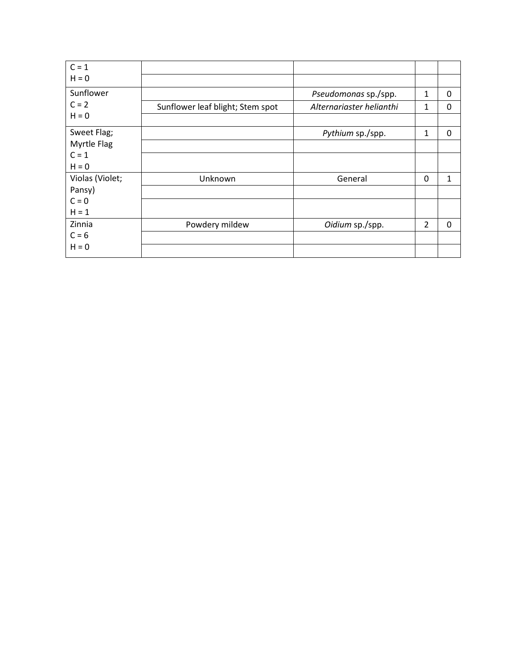| $C = 1$         |                                  |                          |              |              |
|-----------------|----------------------------------|--------------------------|--------------|--------------|
| $H = 0$         |                                  |                          |              |              |
| Sunflower       |                                  | Pseudomonas sp./spp.     | 1            | 0            |
| $C = 2$         | Sunflower leaf blight; Stem spot | Alternariaster helianthi | 1            | 0            |
| $H = 0$         |                                  |                          |              |              |
| Sweet Flag;     |                                  | Pythium sp./spp.         | 1            | 0            |
| Myrtle Flag     |                                  |                          |              |              |
| $C = 1$         |                                  |                          |              |              |
| $H = 0$         |                                  |                          |              |              |
| Violas (Violet; | Unknown                          | General                  | $\mathbf{0}$ | 1            |
| Pansy)          |                                  |                          |              |              |
| $C = 0$         |                                  |                          |              |              |
| $H = 1$         |                                  |                          |              |              |
| Zinnia          | Powdery mildew                   | Oidium sp./spp.          | 2            | $\mathbf{0}$ |
| $C = 6$         |                                  |                          |              |              |
| $H = 0$         |                                  |                          |              |              |
|                 |                                  |                          |              |              |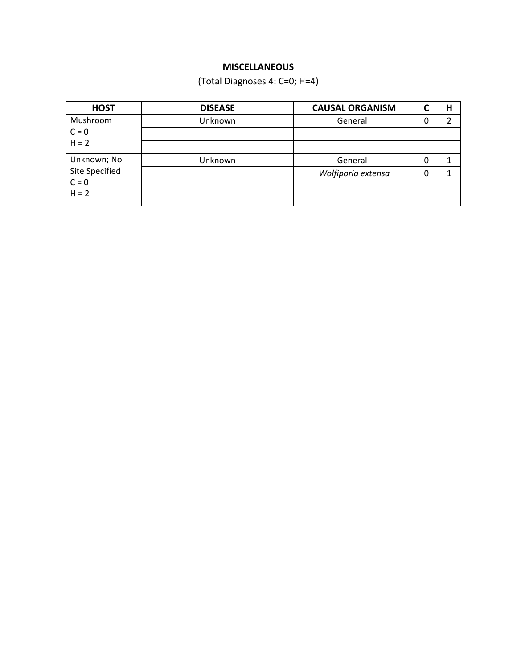## **MISCELLANEOUS**

(Total Diagnoses 4: C=0; H=4)

| <b>HOST</b>    | <b>DISEASE</b> | <b>CAUSAL ORGANISM</b> | ∼ | Н |
|----------------|----------------|------------------------|---|---|
| Mushroom       | Unknown        | General                | 0 |   |
| $C = 0$        |                |                        |   |   |
| $H = 2$        |                |                        |   |   |
| Unknown; No    | Unknown        | General                | 0 |   |
| Site Specified |                | Wolfiporia extensa     | 0 |   |
| $C = 0$        |                |                        |   |   |
| $H = 2$        |                |                        |   |   |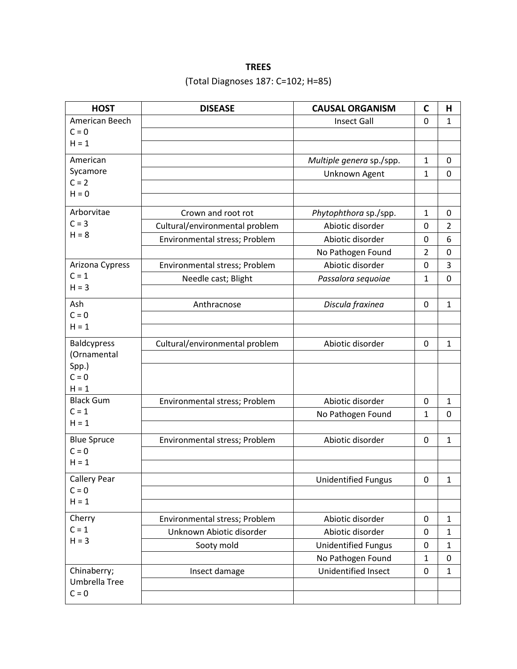# **TREES** (Total Diagnoses 187: C=102; H=85)

| <b>HOST</b>         | <b>DISEASE</b>                 | <b>CAUSAL ORGANISM</b>     | $\mathbf C$    | H              |
|---------------------|--------------------------------|----------------------------|----------------|----------------|
| American Beech      |                                | <b>Insect Gall</b>         | $\overline{0}$ | $\mathbf{1}$   |
| $C = 0$             |                                |                            |                |                |
| $H = 1$             |                                |                            |                |                |
| American            |                                | Multiple genera sp./spp.   | $\mathbf{1}$   | 0              |
| Sycamore            |                                | Unknown Agent              | 1              | 0              |
| $C = 2$             |                                |                            |                |                |
| $H = 0$             |                                |                            |                |                |
| Arborvitae          | Crown and root rot             | Phytophthora sp./spp.      | 1              | 0              |
| $C = 3$             | Cultural/environmental problem | Abiotic disorder           | 0              | $\overline{2}$ |
| $H = 8$             | Environmental stress; Problem  | Abiotic disorder           | 0              | 6              |
|                     |                                | No Pathogen Found          | $\overline{2}$ | 0              |
| Arizona Cypress     | Environmental stress; Problem  | Abiotic disorder           | $\mathbf 0$    | 3              |
| $C = 1$             | Needle cast; Blight            | Passalora sequoiae         | $\mathbf{1}$   | 0              |
| $H = 3$             |                                |                            |                |                |
| Ash                 | Anthracnose                    | Discula fraxinea           | 0              | $\mathbf{1}$   |
| $C = 0$             |                                |                            |                |                |
| $H = 1$             |                                |                            |                |                |
| <b>Baldcypress</b>  | Cultural/environmental problem | Abiotic disorder           | 0              | 1              |
| (Ornamental         |                                |                            |                |                |
| Spp.)               |                                |                            |                |                |
| $C = 0$<br>$H = 1$  |                                |                            |                |                |
| <b>Black Gum</b>    | Environmental stress; Problem  | Abiotic disorder           | 0              | $\mathbf{1}$   |
| $C = 1$             |                                | No Pathogen Found          | $\mathbf{1}$   | 0              |
| $H = 1$             |                                |                            |                |                |
| <b>Blue Spruce</b>  | Environmental stress; Problem  | Abiotic disorder           | 0              | 1              |
| $C = 0$             |                                |                            |                |                |
| $H = 1$             |                                |                            |                |                |
| <b>Callery Pear</b> |                                | <b>Unidentified Fungus</b> | 0              | 1              |
| $C = 0$             |                                |                            |                |                |
| $H = 1$             |                                |                            |                |                |
| Cherry              | Environmental stress; Problem  | Abiotic disorder           | 0              | $\mathbf{1}$   |
| $C = 1$             | Unknown Abiotic disorder       | Abiotic disorder           | 0              | 1              |
| $H = 3$             | Sooty mold                     | <b>Unidentified Fungus</b> | 0              | 1              |
|                     |                                | No Pathogen Found          | $\mathbf{1}$   | 0              |
| Chinaberry;         | Insect damage                  | Unidentified Insect        | 0              | $\mathbf{1}$   |
| Umbrella Tree       |                                |                            |                |                |
| $C = 0$             |                                |                            |                |                |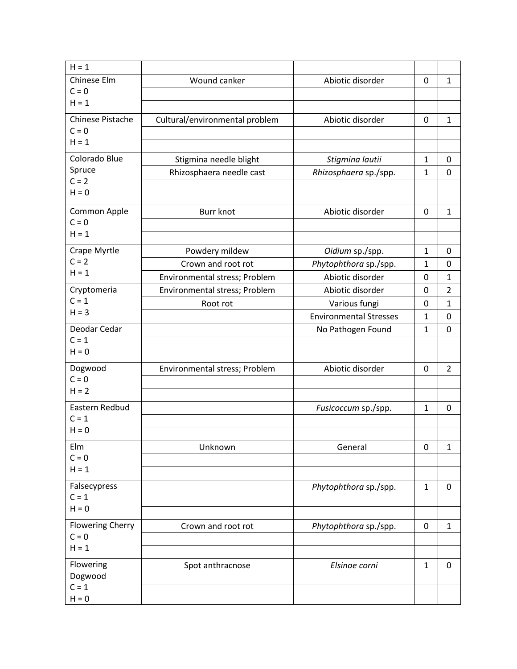| $H = 1$                   |                                |                               |              |                |
|---------------------------|--------------------------------|-------------------------------|--------------|----------------|
| Chinese Elm               | Wound canker                   | Abiotic disorder              | 0            | 1              |
| $C = 0$                   |                                |                               |              |                |
| $H = 1$                   |                                |                               |              |                |
| <b>Chinese Pistache</b>   | Cultural/environmental problem | Abiotic disorder              | 0            | 1              |
| $C = 0$                   |                                |                               |              |                |
| $H = 1$                   |                                |                               |              |                |
| Colorado Blue             | Stigmina needle blight         | Stigmina lautii               | 1            | 0              |
| Spruce                    | Rhizosphaera needle cast       | Rhizosphaera sp./spp.         | $\mathbf{1}$ | 0              |
| $C = 2$                   |                                |                               |              |                |
| $H = 0$                   |                                |                               |              |                |
| Common Apple              | <b>Burr knot</b>               | Abiotic disorder              | 0            | 1              |
| $C = 0$                   |                                |                               |              |                |
| $H = 1$                   |                                |                               |              |                |
| Crape Myrtle              | Powdery mildew                 | Oidium sp./spp.               | $\mathbf{1}$ | 0              |
| $C = 2$                   | Crown and root rot             | Phytophthora sp./spp.         | $\mathbf{1}$ | 0              |
| $H = 1$                   | Environmental stress; Problem  | Abiotic disorder              | 0            | 1              |
| Cryptomeria               | Environmental stress; Problem  | Abiotic disorder              | 0            | $\overline{2}$ |
| $C = 1$                   | Root rot                       | Various fungi                 | 0            | $\mathbf{1}$   |
| $H = 3$                   |                                | <b>Environmental Stresses</b> | $\mathbf{1}$ | 0              |
| Deodar Cedar              |                                |                               | $\mathbf{1}$ | 0              |
| $C = 1$                   |                                | No Pathogen Found             |              |                |
| $H = 0$                   |                                |                               |              |                |
| Dogwood                   |                                |                               |              |                |
| $C = 0$                   | Environmental stress; Problem  | Abiotic disorder              | 0            | $\overline{2}$ |
| $H = 2$                   |                                |                               |              |                |
|                           |                                |                               |              |                |
| Eastern Redbud<br>$C = 1$ |                                | Fusicoccum sp./spp.           | $\mathbf{1}$ | $\mathbf 0$    |
| $H = 0$                   |                                |                               |              |                |
|                           |                                |                               |              |                |
| Elm<br>$C = 0$            | Unknown                        | General                       | 0            | $\mathbf{1}$   |
| $H = 1$                   |                                |                               |              |                |
|                           |                                |                               |              |                |
| Falsecypress              |                                | Phytophthora sp./spp.         | $\mathbf{1}$ | 0              |
| $C = 1$<br>$H = 0$        |                                |                               |              |                |
|                           |                                |                               |              |                |
| <b>Flowering Cherry</b>   | Crown and root rot             | Phytophthora sp./spp.         | 0            | $\mathbf{1}$   |
| $C = 0$                   |                                |                               |              |                |
| $H = 1$                   |                                |                               |              |                |
| Flowering                 | Spot anthracnose               | Elsinoe corni                 | $\mathbf{1}$ | 0              |
| Dogwood                   |                                |                               |              |                |
| $C = 1$                   |                                |                               |              |                |
| $H = 0$                   |                                |                               |              |                |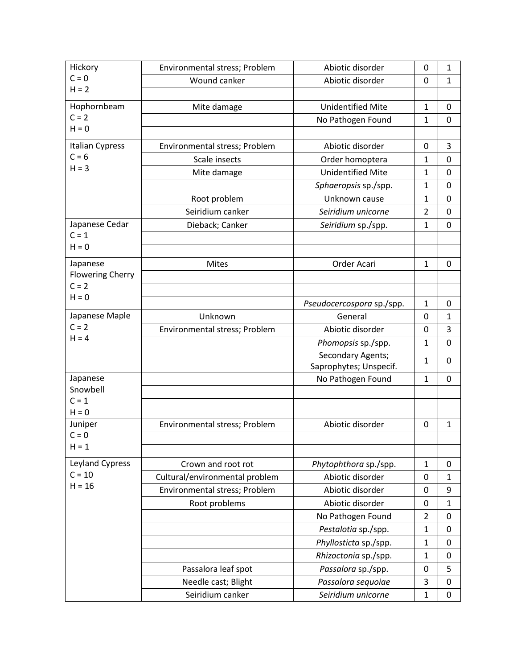| Hickory                 | Environmental stress; Problem  | Abiotic disorder          | 0                          | 1            |
|-------------------------|--------------------------------|---------------------------|----------------------------|--------------|
| $C = 0$                 | Wound canker                   | Abiotic disorder          | 0                          | 1            |
| $H = 2$                 |                                |                           |                            |              |
| Hophornbeam             | Mite damage                    | <b>Unidentified Mite</b>  | $\mathbf 1$                | $\mathbf{0}$ |
| $C = 2$                 |                                | No Pathogen Found         | $\mathbf{1}$               | $\mathbf 0$  |
| $H = 0$                 |                                |                           |                            |              |
| Italian Cypress         | Environmental stress; Problem  | Abiotic disorder          | 0                          | 3            |
| $C = 6$                 | Scale insects                  | Order homoptera           | $\mathbf{1}$               | 0            |
| $H = 3$                 | Mite damage                    | <b>Unidentified Mite</b>  | 1                          | 0            |
|                         |                                | Sphaeropsis sp./spp.      | 1                          | 0            |
|                         | Root problem                   | Unknown cause             | 1                          | 0            |
|                         | Seiridium canker               | Seiridium unicorne        | $\overline{2}$             | $\mathbf 0$  |
| Japanese Cedar          | Dieback; Canker                | Seiridium sp./spp.        | 1                          | 0            |
| $C = 1$                 |                                |                           |                            |              |
| $H = 0$                 |                                |                           |                            |              |
| Japanese                | <b>Mites</b>                   | Order Acari               | $\mathbf{1}$               | 0            |
| <b>Flowering Cherry</b> |                                |                           |                            |              |
| $C = 2$                 |                                |                           |                            |              |
| $H = 0$                 |                                | Pseudocercospora sp./spp. | $\mathbf{1}$               | 0            |
| Japanese Maple          | Unknown                        | General                   | 0                          | $\mathbf{1}$ |
| $C = 2$                 | Environmental stress; Problem  | Abiotic disorder          | $\mathbf 0$                | 3            |
| $H = 4$                 |                                | Phomopsis sp./spp.        | 1                          | 0            |
|                         |                                | Secondary Agents;         |                            |              |
|                         |                                | Saprophytes; Unspecif.    | $\mathbf 1$                | 0            |
| Japanese                |                                | No Pathogen Found         | $\mathbf 1$                | $\mathbf 0$  |
| Snowbell                |                                |                           |                            |              |
| $C = 1$<br>$H = 0$      |                                |                           |                            |              |
| Juniper                 | Environmental stress; Problem  | Abiotic disorder          | 0                          | 1            |
| $C = 0$                 |                                |                           |                            |              |
| $H = 1$                 |                                |                           |                            |              |
| Leyland Cypress         | Crown and root rot             | Phytophthora sp./spp.     | $\mathbf 1$                | 0            |
| $C = 10$                | Cultural/environmental problem | Abiotic disorder          | 0                          | 1            |
| $H = 16$                | Environmental stress; Problem  | Abiotic disorder          | 0                          | 9            |
|                         | Root problems                  | Abiotic disorder          | 0                          | $\mathbf{1}$ |
|                         |                                | No Pathogen Found         | $\overline{2}$             | 0            |
|                         |                                | Pestalotia sp./spp.       | $\mathbf{1}$               | 0            |
|                         |                                |                           |                            |              |
|                         |                                | Phyllosticta sp./spp.     | $\mathbf 1$<br>$\mathbf 1$ | 0            |
|                         |                                | Rhizoctonia sp./spp.      |                            | 0            |
|                         | Passalora leaf spot            | Passalora sp./spp.        | 0                          | 5            |
|                         | Needle cast; Blight            | Passalora sequoiae        | 3                          | 0            |
|                         | Seiridium canker               | Seiridium unicorne        | $\mathbf{1}$               | 0            |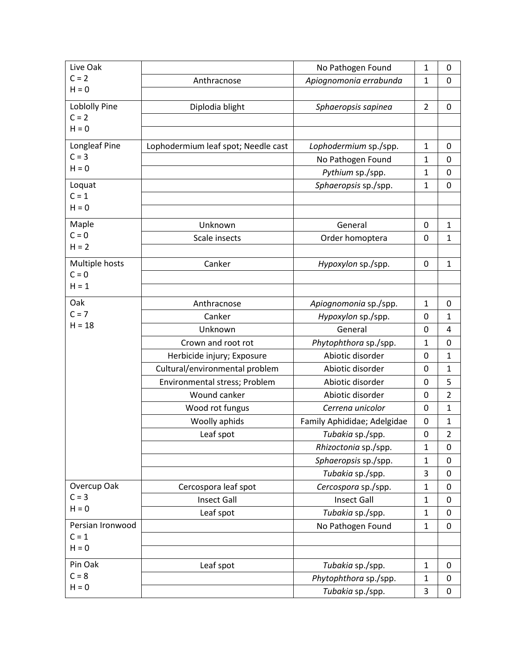| Live Oak             |                                     | No Pathogen Found           | $\mathbf{1}$   | 0              |
|----------------------|-------------------------------------|-----------------------------|----------------|----------------|
| $C = 2$              | Anthracnose                         | Apiognomonia errabunda      | $\mathbf{1}$   | 0              |
| $H = 0$              |                                     |                             |                |                |
| <b>Loblolly Pine</b> | Diplodia blight                     | Sphaeropsis sapinea         | $\overline{2}$ | 0              |
| $C = 2$              |                                     |                             |                |                |
| $H = 0$              |                                     |                             |                |                |
| Longleaf Pine        | Lophodermium leaf spot; Needle cast | Lophodermium sp./spp.       | $\mathbf 1$    | 0              |
| $C = 3$              |                                     | No Pathogen Found           | 1              | 0              |
| $H = 0$              |                                     | Pythium sp./spp.            | 1              | 0              |
| Loquat               |                                     | Sphaeropsis sp./spp.        | $\mathbf 1$    | $\mathbf 0$    |
| $C = 1$              |                                     |                             |                |                |
| $H = 0$              |                                     |                             |                |                |
| Maple                | Unknown                             | General                     | $\mathbf 0$    | $\mathbf{1}$   |
| $C = 0$              | Scale insects                       | Order homoptera             | 0              | $\mathbf{1}$   |
| $H = 2$              |                                     |                             |                |                |
| Multiple hosts       | Canker                              | Hypoxylon sp./spp.          | 0              | $\mathbf{1}$   |
| $C = 0$              |                                     |                             |                |                |
| $H = 1$              |                                     |                             |                |                |
| Oak                  | Anthracnose                         | Apiognomonia sp./spp.       | $\mathbf 1$    | 0              |
| $C = 7$              | Canker                              | Hypoxylon sp./spp.          | 0              | $\mathbf{1}$   |
| $H = 18$             | Unknown                             | General                     | 0              | 4              |
|                      | Crown and root rot                  | Phytophthora sp./spp.       | 1              | $\mathbf 0$    |
|                      | Herbicide injury; Exposure          | Abiotic disorder            | 0              | 1              |
|                      | Cultural/environmental problem      | Abiotic disorder            | $\mathbf 0$    | 1              |
|                      | Environmental stress; Problem       | Abiotic disorder            | $\mathbf 0$    | 5              |
|                      | Wound canker                        | Abiotic disorder            | 0              | $\overline{2}$ |
|                      | Wood rot fungus                     | Cerrena unicolor            | 0              | $\mathbf{1}$   |
|                      | Woolly aphids                       | Family Aphididae; Adelgidae | 0              | $\mathbf{1}$   |
|                      | Leaf spot                           | Tubakia sp./spp.            | $\mathbf 0$    | $\overline{2}$ |
|                      |                                     | Rhizoctonia sp./spp.        | $\mathbf{1}$   | 0              |
|                      |                                     | Sphaeropsis sp./spp.        | $\mathbf 1$    | $\mathbf{0}$   |
|                      |                                     | Tubakia sp./spp.            | 3              | 0              |
| Overcup Oak          | Cercospora leaf spot                | Cercospora sp./spp.         | $\mathbf{1}$   | 0              |
| $C = 3$              | <b>Insect Gall</b>                  | <b>Insect Gall</b>          | $\mathbf 1$    | $\mathbf 0$    |
| $H = 0$              | Leaf spot                           | Tubakia sp./spp.            | $\mathbf 1$    | 0              |
| Persian Ironwood     |                                     | No Pathogen Found           | $\mathbf{1}$   | $\mathbf 0$    |
| $C = 1$              |                                     |                             |                |                |
| $H = 0$              |                                     |                             |                |                |
| Pin Oak              | Leaf spot                           | Tubakia sp./spp.            | $\mathbf 1$    | $\mathbf 0$    |
| $C = 8$              |                                     | Phytophthora sp./spp.       | $\mathbf 1$    | 0              |
| $H = 0$              |                                     | Tubakia sp./spp.            | 3              | $\pmb{0}$      |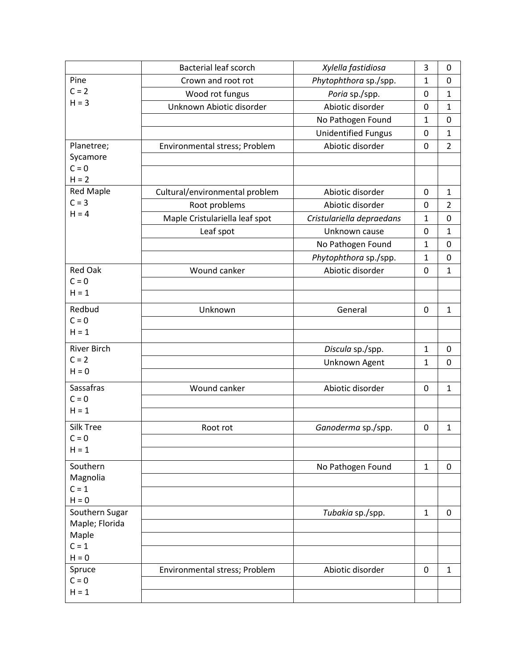|                             | <b>Bacterial leaf scorch</b>   | Xylella fastidiosa         | 3            | 0              |
|-----------------------------|--------------------------------|----------------------------|--------------|----------------|
| Pine                        | Crown and root rot             | Phytophthora sp./spp.      | 1            | $\mathbf 0$    |
| $C = 2$                     | Wood rot fungus                | Poria sp./spp.             | 0            | $\mathbf{1}$   |
| $H = 3$                     | Unknown Abiotic disorder       | Abiotic disorder           | $\mathbf 0$  | 1              |
|                             |                                | No Pathogen Found          | $\mathbf{1}$ | $\mathbf 0$    |
|                             |                                | <b>Unidentified Fungus</b> | 0            | $\mathbf{1}$   |
| Planetree;                  | Environmental stress; Problem  | Abiotic disorder           | $\mathbf 0$  | $\overline{2}$ |
| Sycamore                    |                                |                            |              |                |
| $C = 0$                     |                                |                            |              |                |
| $H = 2$                     |                                |                            |              |                |
| <b>Red Maple</b><br>$C = 3$ | Cultural/environmental problem | Abiotic disorder           | $\mathbf 0$  | 1              |
| $H = 4$                     | Root problems                  | Abiotic disorder           | 0            | $\overline{2}$ |
|                             | Maple Cristulariella leaf spot | Cristulariella depraedans  | 1            | $\mathbf 0$    |
|                             | Leaf spot                      | Unknown cause              | 0            | $\mathbf{1}$   |
|                             |                                | No Pathogen Found          | 1            | 0              |
|                             |                                | Phytophthora sp./spp.      | $\mathbf 1$  | $\mathbf 0$    |
| <b>Red Oak</b><br>$C = 0$   | Wound canker                   | Abiotic disorder           | 0            | 1              |
| $H = 1$                     |                                |                            |              |                |
|                             |                                |                            |              |                |
| Redbud                      | Unknown                        | General                    | 0            | 1              |
| $C = 0$<br>$H = 1$          |                                |                            |              |                |
|                             |                                |                            |              |                |
| <b>River Birch</b>          |                                | Discula sp./spp.           | $\mathbf{1}$ | 0              |
| $C = 2$<br>$H = 0$          |                                | Unknown Agent              | $\mathbf{1}$ | 0              |
|                             |                                |                            |              |                |
| Sassafras                   | Wound canker                   | Abiotic disorder           | $\mathbf 0$  | $\mathbf{1}$   |
| $C = 0$<br>$H = 1$          |                                |                            |              |                |
|                             |                                |                            |              |                |
| Silk Tree                   | Root rot                       | Ganoderma sp./spp.         | 0            | 1              |
| $C = 0$<br>$H = 1$          |                                |                            |              |                |
|                             |                                |                            |              |                |
| Southern                    |                                | No Pathogen Found          | $\mathbf 1$  | 0              |
| Magnolia<br>$C = 1$         |                                |                            |              |                |
| $H = 0$                     |                                |                            |              |                |
| Southern Sugar              |                                | Tubakia sp./spp.           | $\mathbf{1}$ | 0              |
| Maple; Florida              |                                |                            |              |                |
| Maple                       |                                |                            |              |                |
| $C = 1$                     |                                |                            |              |                |
| $H = 0$                     |                                |                            |              |                |
| Spruce                      | Environmental stress; Problem  | Abiotic disorder           | $\pmb{0}$    | $\mathbf{1}$   |
| $C = 0$<br>$H = 1$          |                                |                            |              |                |
|                             |                                |                            |              |                |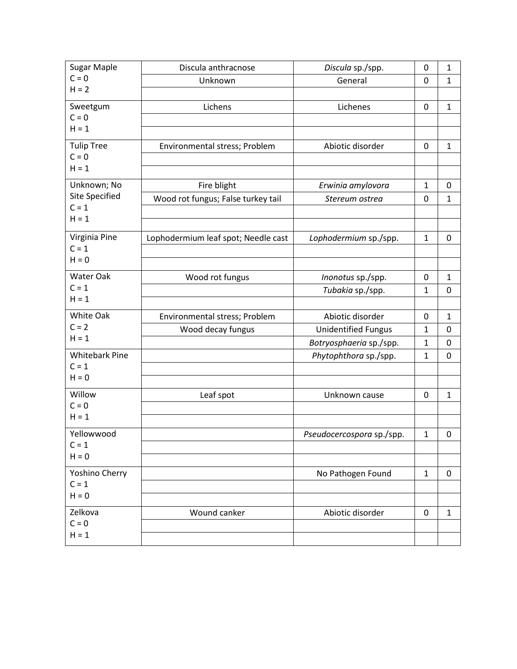| <b>Sugar Maple</b>               | Discula anthracnose                 | Discula sp./spp.           | 0                 | $\mathbf{1}$      |
|----------------------------------|-------------------------------------|----------------------------|-------------------|-------------------|
| $C = 0$                          | Unknown                             | General                    | $\mathbf 0$       | $\mathbf{1}$      |
| $H = 2$                          |                                     |                            |                   |                   |
| Sweetgum                         | Lichens                             | Lichenes                   | 0                 | $\mathbf{1}$      |
| $C = 0$                          |                                     |                            |                   |                   |
| $H = 1$                          |                                     |                            |                   |                   |
| <b>Tulip Tree</b>                | Environmental stress; Problem       | Abiotic disorder           | 0                 | $\mathbf{1}$      |
| $C = 0$<br>$H = 1$               |                                     |                            |                   |                   |
|                                  |                                     |                            |                   |                   |
| Unknown; No                      | Fire blight                         | Erwinia amylovora          | $\mathbf{1}$      | $\pmb{0}$         |
| <b>Site Specified</b><br>$C = 1$ | Wood rot fungus; False turkey tail  | Stereum ostrea             | 0                 | $\mathbf{1}$      |
| $H = 1$                          |                                     |                            |                   |                   |
|                                  |                                     |                            |                   |                   |
| Virginia Pine                    | Lophodermium leaf spot; Needle cast | Lophodermium sp./spp.      | $\mathbf 1$       | 0                 |
| $C = 1$<br>$H = 0$               |                                     |                            |                   |                   |
|                                  |                                     |                            |                   |                   |
| Water Oak<br>$C = 1$             | Wood rot fungus                     | Inonotus sp./spp.          | 0                 | $\mathbf{1}$      |
| $H = 1$                          |                                     | Tubakia sp./spp.           | $\mathbf{1}$      | 0                 |
| White Oak                        |                                     |                            |                   |                   |
| $C = 2$                          | Environmental stress; Problem       | Abiotic disorder           | 0<br>$\mathbf{1}$ | $\mathbf{1}$<br>0 |
| $H = 1$                          | Wood decay fungus                   | <b>Unidentified Fungus</b> | $\mathbf{1}$      | 0                 |
| <b>Whitebark Pine</b>            |                                     | Botryosphaeria sp./spp.    |                   |                   |
| $C = 1$                          |                                     | Phytophthora sp./spp.      | 1                 | 0                 |
| $H = 0$                          |                                     |                            |                   |                   |
| Willow                           | Leaf spot                           | Unknown cause              | 0                 | $\mathbf{1}$      |
| $C = 0$                          |                                     |                            |                   |                   |
| $H = 1$                          |                                     |                            |                   |                   |
| Yellowwood                       |                                     | Pseudocercospora sp./spp.  | $\mathbf 1$       | 0                 |
| $C = 1$                          |                                     |                            |                   |                   |
| $H = 0$                          |                                     |                            |                   |                   |
| Yoshino Cherry                   |                                     | No Pathogen Found          | $\mathbf{1}$      | 0                 |
| $C = 1$                          |                                     |                            |                   |                   |
| $H = 0$                          |                                     |                            |                   |                   |
| Zelkova                          | Wound canker                        | Abiotic disorder           | 0                 | 1                 |
| $C = 0$                          |                                     |                            |                   |                   |
| $H = 1$                          |                                     |                            |                   |                   |
|                                  |                                     |                            |                   |                   |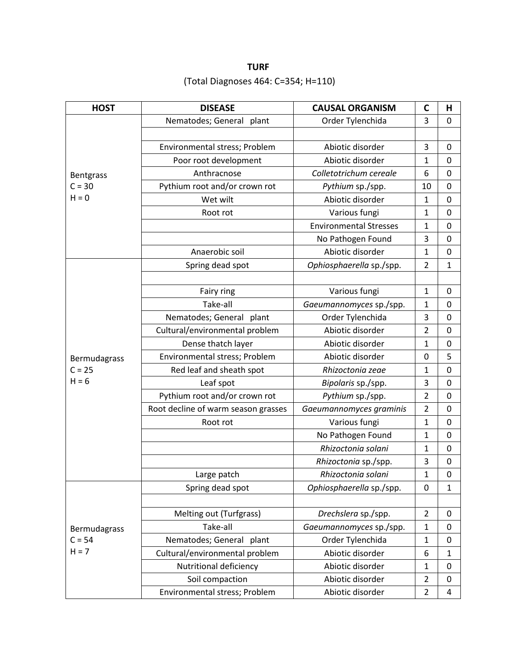**TURF** (Total Diagnoses 464: C=354; H=110)

| <b>HOST</b>      | <b>DISEASE</b>                      | <b>CAUSAL ORGANISM</b>        | $\mathbf C$    | Н                |
|------------------|-------------------------------------|-------------------------------|----------------|------------------|
|                  | Nematodes; General plant            | Order Tylenchida              | 3              | $\mathbf 0$      |
|                  |                                     |                               |                |                  |
|                  | Environmental stress; Problem       | Abiotic disorder              | 3              | 0                |
|                  | Poor root development               | Abiotic disorder              | $\mathbf{1}$   | 0                |
| <b>Bentgrass</b> | Anthracnose                         | Colletotrichum cereale        | 6              | 0                |
| $C = 30$         | Pythium root and/or crown rot       | Pythium sp./spp.              | 10             | 0                |
| $H = 0$          | Wet wilt                            | Abiotic disorder              | $\mathbf{1}$   | 0                |
|                  | Root rot                            | Various fungi                 | $\mathbf{1}$   | $\mathbf 0$      |
|                  |                                     | <b>Environmental Stresses</b> | $\mathbf{1}$   | 0                |
|                  |                                     | No Pathogen Found             | 3              | 0                |
|                  | Anaerobic soil                      | Abiotic disorder              | $\mathbf{1}$   | 0                |
|                  | Spring dead spot                    | Ophiosphaerella sp./spp.      | $\overline{2}$ | $\mathbf{1}$     |
|                  |                                     |                               |                |                  |
|                  | Fairy ring                          | Various fungi                 | $\mathbf{1}$   | 0                |
|                  | Take-all                            | Gaeumannomyces sp./spp.       | $\mathbf{1}$   | 0                |
|                  | Nematodes; General plant            | Order Tylenchida              | 3              | 0                |
|                  | Cultural/environmental problem      | Abiotic disorder              | $\overline{2}$ | 0                |
|                  | Dense thatch layer                  | Abiotic disorder              | $\mathbf{1}$   | $\mathbf 0$      |
| Bermudagrass     | Environmental stress; Problem       | Abiotic disorder              | 0              | 5                |
| $C = 25$         | Red leaf and sheath spot            | Rhizoctonia zeae              | $\mathbf{1}$   | $\mathbf 0$      |
| $H = 6$          | Leaf spot                           | Bipolaris sp./spp.            | 3              | 0                |
|                  | Pythium root and/or crown rot       | Pythium sp./spp.              | $\overline{2}$ | 0                |
|                  | Root decline of warm season grasses | Gaeumannomyces graminis       | $\overline{2}$ | $\mathbf 0$      |
|                  | Root rot                            | Various fungi                 | $\mathbf{1}$   | 0                |
|                  |                                     | No Pathogen Found             | $\mathbf{1}$   | $\mathbf 0$      |
|                  |                                     | Rhizoctonia solani            | $\mathbf{1}$   | 0                |
|                  |                                     | Rhizoctonia sp./spp.          | 3              | $\mathbf 0$      |
|                  | Large patch                         | Rhizoctonia solani            | $\mathbf{1}$   | $\mathbf 0$      |
|                  | Spring dead spot                    | Ophiosphaerella sp./spp.      | 0              | $\mathbf{1}$     |
|                  |                                     |                               |                |                  |
|                  | Melting out (Turfgrass)             | Drechslera sp./spp.           | $\overline{2}$ | 0                |
| Bermudagrass     | Take-all                            | Gaeumannomyces sp./spp.       | $\mathbf{1}$   | $\boldsymbol{0}$ |
| $C = 54$         | Nematodes; General plant            | Order Tylenchida              | $\mathbf{1}$   | 0                |
| $H = 7$          | Cultural/environmental problem      | Abiotic disorder              | 6              | $\mathbf{1}$     |
|                  | Nutritional deficiency              | Abiotic disorder              | $\mathbf{1}$   | $\boldsymbol{0}$ |
|                  | Soil compaction                     | Abiotic disorder              | $\overline{2}$ | 0                |
|                  | Environmental stress; Problem       | Abiotic disorder              | $\overline{2}$ | $\overline{4}$   |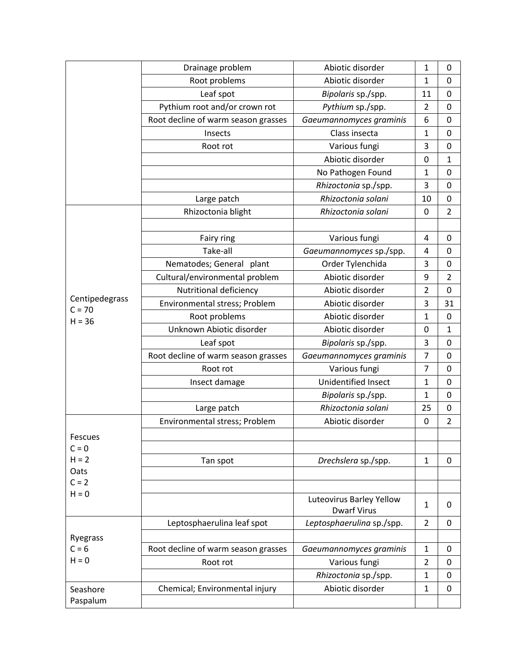|                            | Drainage problem                    | Abiotic disorder                               | 1              | $\mathbf 0$    |
|----------------------------|-------------------------------------|------------------------------------------------|----------------|----------------|
|                            | Root problems                       | Abiotic disorder                               | $\mathbf 1$    | 0              |
|                            | Leaf spot                           | Bipolaris sp./spp.                             | 11             | $\mathbf 0$    |
|                            | Pythium root and/or crown rot       | Pythium sp./spp.                               | $\overline{2}$ | 0              |
|                            | Root decline of warm season grasses | Gaeumannomyces graminis                        | 6              | $\mathbf 0$    |
|                            | Insects                             | Class insecta                                  | $\mathbf 1$    | $\mathbf 0$    |
|                            | Root rot                            | Various fungi                                  | 3              | $\mathbf 0$    |
|                            |                                     | Abiotic disorder                               | $\mathbf 0$    | 1              |
|                            |                                     | No Pathogen Found                              | $\mathbf 1$    | 0              |
|                            |                                     | Rhizoctonia sp./spp.                           | 3              | $\mathbf 0$    |
|                            | Large patch                         | Rhizoctonia solani                             | 10             | 0              |
|                            | Rhizoctonia blight                  | Rhizoctonia solani                             | $\mathbf 0$    | $\overline{2}$ |
|                            |                                     |                                                |                |                |
|                            | Fairy ring                          | Various fungi                                  | 4              | 0              |
|                            | Take-all                            | Gaeumannomyces sp./spp.                        | 4              | $\mathbf 0$    |
|                            | Nematodes; General plant            | Order Tylenchida                               | 3              | 0              |
|                            | Cultural/environmental problem      | Abiotic disorder                               | 9              | $\overline{2}$ |
|                            | Nutritional deficiency              | Abiotic disorder                               | $\overline{2}$ | 0              |
| Centipedegrass<br>$C = 70$ | Environmental stress; Problem       | Abiotic disorder                               | 3              | 31             |
| $H = 36$                   | Root problems                       | Abiotic disorder                               | $\mathbf{1}$   | $\mathbf 0$    |
|                            | Unknown Abiotic disorder            | Abiotic disorder                               | $\mathbf 0$    | $\mathbf{1}$   |
|                            | Leaf spot                           | Bipolaris sp./spp.                             | 3              | 0              |
|                            | Root decline of warm season grasses | Gaeumannomyces graminis                        | $\overline{7}$ | $\mathbf 0$    |
|                            | Root rot                            | Various fungi                                  | 7              | $\mathbf 0$    |
|                            | Insect damage                       | Unidentified Insect                            | $\mathbf{1}$   | $\mathbf 0$    |
|                            |                                     | Bipolaris sp./spp.                             | $\mathbf 1$    | 0              |
|                            | Large patch                         | Rhizoctonia solani                             | 25             | $\mathbf 0$    |
|                            | Environmental stress; Problem       | Abiotic disorder                               | 0              | $\overline{2}$ |
| Fescues                    |                                     |                                                |                |                |
| $C = 0$                    |                                     |                                                |                |                |
| $H = 2$                    | Tan spot                            | Drechslera sp./spp.                            | $\mathbf{1}$   | $\mathbf 0$    |
| Oats                       |                                     |                                                |                |                |
| $C = 2$                    |                                     |                                                |                |                |
| $H = 0$                    |                                     | Luteovirus Barley Yellow<br><b>Dwarf Virus</b> | $\mathbf{1}$   | 0              |
|                            | Leptosphaerulina leaf spot          | Leptosphaerulina sp./spp.                      | $\overline{2}$ | 0              |
| Ryegrass                   |                                     |                                                |                |                |
| $C = 6$                    | Root decline of warm season grasses | Gaeumannomyces graminis                        | $\mathbf{1}$   | 0              |
| $H = 0$                    | Root rot                            | Various fungi                                  | $\overline{2}$ | 0              |
|                            |                                     | Rhizoctonia sp./spp.                           | $\mathbf{1}$   | $\mathbf 0$    |
| Seashore                   | Chemical; Environmental injury      | Abiotic disorder                               | $\mathbf{1}$   | 0              |
| Paspalum                   |                                     |                                                |                |                |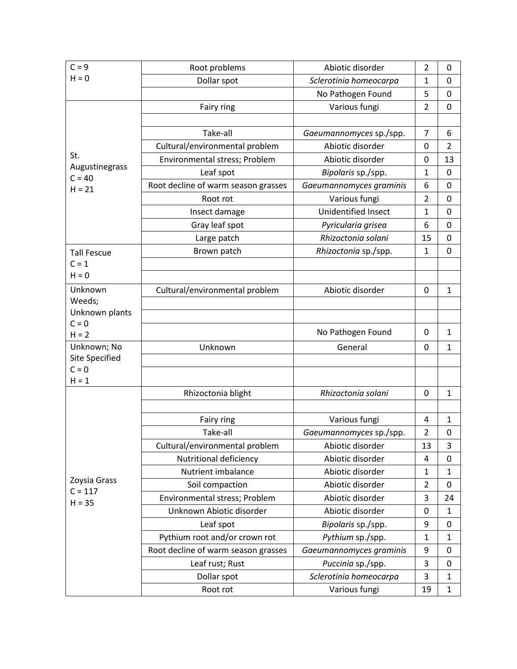| $C = 9$                    | Root problems                       | Abiotic disorder           | $\overline{2}$ | 0              |
|----------------------------|-------------------------------------|----------------------------|----------------|----------------|
| $H = 0$                    | Dollar spot                         | Sclerotinia homeocarpa     | 1              | $\mathbf 0$    |
|                            |                                     | No Pathogen Found          | 5              | $\mathbf 0$    |
|                            | Fairy ring                          | Various fungi              | $\overline{2}$ | $\mathbf 0$    |
|                            |                                     |                            |                |                |
|                            | Take-all                            | Gaeumannomyces sp./spp.    | $\overline{7}$ | 6              |
|                            | Cultural/environmental problem      | Abiotic disorder           | 0              | $\overline{2}$ |
| St.                        | Environmental stress; Problem       | Abiotic disorder           | 0              | 13             |
| Augustinegrass<br>$C = 40$ | Leaf spot                           | Bipolaris sp./spp.         | $\mathbf{1}$   | 0              |
| $H = 21$                   | Root decline of warm season grasses | Gaeumannomyces graminis    | 6              | $\mathbf 0$    |
|                            | Root rot                            | Various fungi              | $\overline{2}$ | $\mathbf 0$    |
|                            | Insect damage                       | <b>Unidentified Insect</b> | 1              | 0              |
|                            | Gray leaf spot                      | Pyricularia grisea         | 6              | 0              |
|                            | Large patch                         | Rhizoctonia solani         | 15             | $\mathbf 0$    |
| <b>Tall Fescue</b>         | Brown patch                         | Rhizoctonia sp./spp.       | $\mathbf{1}$   | $\mathbf 0$    |
| $C = 1$                    |                                     |                            |                |                |
| $H = 0$                    |                                     |                            |                |                |
| Unknown                    | Cultural/environmental problem      | Abiotic disorder           | $\mathbf 0$    | $\mathbf{1}$   |
| Weeds;                     |                                     |                            |                |                |
| Unknown plants             |                                     |                            |                |                |
| $C = 0$<br>$H = 2$         |                                     | No Pathogen Found          | 0              | $\mathbf{1}$   |
| Unknown; No                | Unknown                             | General                    | 0              | $\mathbf{1}$   |
| <b>Site Specified</b>      |                                     |                            |                |                |
| $C = 0$                    |                                     |                            |                |                |
| $H = 1$                    |                                     |                            |                |                |
|                            | Rhizoctonia blight                  | Rhizoctonia solani         | $\mathbf 0$    | $\mathbf{1}$   |
|                            |                                     |                            |                |                |
|                            | Fairy ring                          | Various fungi              | 4              | $\mathbf 1$    |
|                            | Take-all                            | Gaeumannomyces sp./spp.    | $\overline{2}$ | $\mathbf 0$    |
|                            | Cultural/environmental problem      | Abiotic disorder           | 13             | 3              |
|                            | Nutritional deficiency              | Abiotic disorder           | 4              | 0              |
| Zoysia Grass               | Nutrient imbalance                  | Abiotic disorder           | $\mathbf{1}$   | $\mathbf{1}$   |
| $C = 117$                  | Soil compaction                     | Abiotic disorder           | $\overline{2}$ | 0              |
| $H = 35$                   | Environmental stress; Problem       | Abiotic disorder           | 3              | 24             |
|                            | Unknown Abiotic disorder            | Abiotic disorder           | 0              | $\mathbf{1}$   |
|                            | Leaf spot                           | Bipolaris sp./spp.         | 9              | 0              |
|                            | Pythium root and/or crown rot       | Pythium sp./spp.           | $\mathbf{1}$   | 1              |
|                            | Root decline of warm season grasses | Gaeumannomyces graminis    | 9              | 0              |
|                            | Leaf rust; Rust                     | Puccinia sp./spp.          | 3              | 0              |
|                            | Dollar spot                         | Sclerotinia homeocarpa     | 3              | $\mathbf{1}$   |
|                            | Root rot                            | Various fungi              | 19             | $\mathbf{1}$   |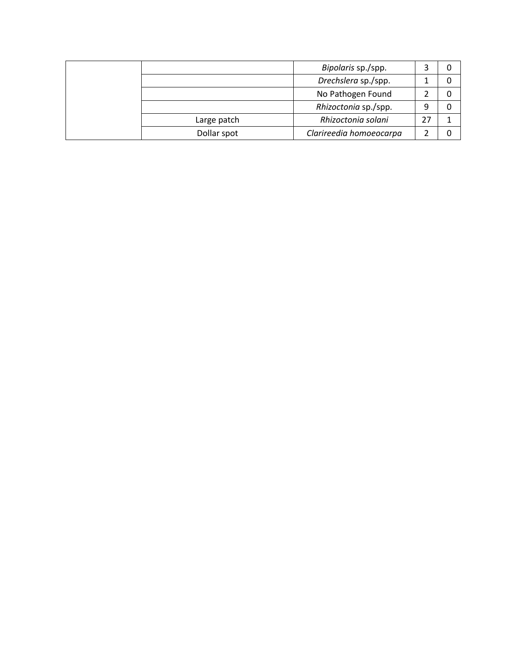|             | Bipolaris sp./spp.      |    |  |
|-------------|-------------------------|----|--|
|             | Drechslera sp./spp.     |    |  |
|             | No Pathogen Found       |    |  |
|             | Rhizoctonia sp./spp.    | 9  |  |
| Large patch | Rhizoctonia solani      | 27 |  |
| Dollar spot | Clarireedia homoeocarpa |    |  |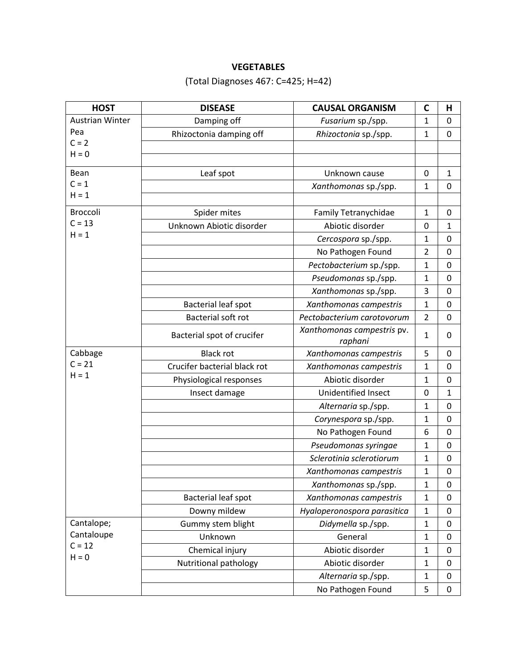## **VEGETABLES**

# (Total Diagnoses 467: C=425; H=42)

| <b>HOST</b>            | <b>DISEASE</b>               | <b>CAUSAL ORGANISM</b>                | C              | Н            |
|------------------------|------------------------------|---------------------------------------|----------------|--------------|
| <b>Austrian Winter</b> | Damping off                  | Fusarium sp./spp.                     | $\mathbf{1}$   | 0            |
| Pea                    | Rhizoctonia damping off      | Rhizoctonia sp./spp.                  | $\mathbf{1}$   | 0            |
| $C = 2$                |                              |                                       |                |              |
| $H = 0$                |                              |                                       |                |              |
| Bean                   | Leaf spot                    | Unknown cause                         | 0              | 1            |
| $C = 1$                |                              | Xanthomonas sp./spp.                  | $\mathbf{1}$   | $\mathbf 0$  |
| $H = 1$                |                              |                                       |                |              |
| <b>Broccoli</b>        | Spider mites                 | Family Tetranychidae                  | 1              | 0            |
| $C = 13$               | Unknown Abiotic disorder     | Abiotic disorder                      | 0              | $\mathbf{1}$ |
| $H = 1$                |                              | Cercospora sp./spp.                   | 1              | 0            |
|                        |                              | No Pathogen Found                     | $\overline{2}$ | 0            |
|                        |                              | Pectobacterium sp./spp.               | $\mathbf{1}$   | 0            |
|                        |                              | Pseudomonas sp./spp.                  | $\mathbf{1}$   | $\mathbf 0$  |
|                        |                              | Xanthomonas sp./spp.                  | 3              | 0            |
|                        | <b>Bacterial leaf spot</b>   | Xanthomonas campestris                | $\mathbf{1}$   | 0            |
|                        | Bacterial soft rot           | Pectobacterium carotovorum            | $\overline{2}$ | $\mathbf 0$  |
|                        | Bacterial spot of crucifer   | Xanthomonas campestris pv.<br>raphani | $\mathbf{1}$   | 0            |
| Cabbage                | <b>Black rot</b>             | Xanthomonas campestris                | 5              | $\mathbf 0$  |
| $C = 21$               | Crucifer bacterial black rot | Xanthomonas campestris                | $\mathbf{1}$   | 0            |
| $H = 1$                | Physiological responses      | Abiotic disorder                      | $\mathbf{1}$   | $\mathbf 0$  |
|                        | Insect damage                | <b>Unidentified Insect</b>            | 0              | $\mathbf{1}$ |
|                        |                              | Alternaria sp./spp.                   | $\mathbf{1}$   | $\mathbf 0$  |
|                        |                              | Corynespora sp./spp.                  | $\mathbf{1}$   | $\mathbf 0$  |
|                        |                              | No Pathogen Found                     | 6              | 0            |
|                        |                              | Pseudomonas syringae                  | $\mathbf{1}$   | $\mathbf 0$  |
|                        |                              | Sclerotinia sclerotiorum              | $\mathbf{1}$   | 0            |
|                        |                              | Xanthomonas campestris                | $\mathbf{1}$   | $\mathbf 0$  |
|                        |                              | Xanthomonas sp./spp.                  | 1              | 0            |
|                        | Bacterial leaf spot          | Xanthomonas campestris                | $\mathbf{1}$   | $\mathbf{0}$ |
|                        | Downy mildew                 | Hyaloperonospora parasitica           | $\mathbf{1}$   | $\mathbf 0$  |
| Cantalope;             | Gummy stem blight            | Didymella sp./spp.                    | $\mathbf{1}$   | 0            |
| Cantaloupe             | Unknown                      | General                               | $\mathbf{1}$   | 0            |
| $C = 12$<br>$H = 0$    | Chemical injury              | Abiotic disorder                      | $\mathbf{1}$   | 0            |
|                        | Nutritional pathology        | Abiotic disorder                      | $\mathbf{1}$   | 0            |
|                        |                              | Alternaria sp./spp.                   | $\mathbf{1}$   | 0            |
|                        |                              | No Pathogen Found                     | 5              | 0            |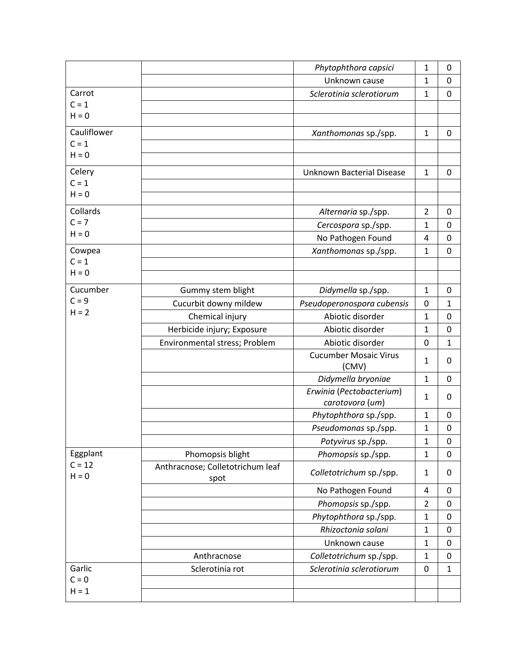|                     |                                          | Phytophthora capsici                        | $\mathbf{1}$   | 0            |
|---------------------|------------------------------------------|---------------------------------------------|----------------|--------------|
|                     |                                          | Unknown cause                               | 1              | 0            |
| Carrot              |                                          | Sclerotinia sclerotiorum                    | $\mathbf{1}$   | $\mathbf 0$  |
| $C = 1$             |                                          |                                             |                |              |
| $H = 0$             |                                          |                                             |                |              |
| Cauliflower         |                                          | Xanthomonas sp./spp.                        | $\mathbf{1}$   | 0            |
| $C = 1$             |                                          |                                             |                |              |
| $H = 0$             |                                          |                                             |                |              |
| Celery              |                                          | <b>Unknown Bacterial Disease</b>            | $\mathbf 1$    | 0            |
| $C = 1$             |                                          |                                             |                |              |
| $H = 0$             |                                          |                                             |                |              |
| Collards            |                                          | Alternaria sp./spp.                         | $\overline{2}$ | 0            |
| $C = 7$             |                                          | Cercospora sp./spp.                         | 1              | $\mathbf 0$  |
| $H = 0$             |                                          | No Pathogen Found                           | 4              | 0            |
| Cowpea              |                                          | Xanthomonas sp./spp.                        | $\mathbf{1}$   | $\mathbf 0$  |
| $C = 1$             |                                          |                                             |                |              |
| $H = 0$             |                                          |                                             |                |              |
| Cucumber            | Gummy stem blight                        | Didymella sp./spp.                          | $\mathbf{1}$   | 0            |
| $C = 9$             | Cucurbit downy mildew                    | Pseudoperonospora cubensis                  | 0              | $\mathbf{1}$ |
| $H = 2$             | Chemical injury                          | Abiotic disorder                            | 1              | 0            |
|                     | Herbicide injury; Exposure               | Abiotic disorder                            | 1              | 0            |
|                     | Environmental stress; Problem            | Abiotic disorder                            | $\mathbf 0$    | $\mathbf{1}$ |
|                     |                                          | <b>Cucumber Mosaic Virus</b>                | 1              | 0            |
|                     |                                          | (CMV)                                       |                |              |
|                     |                                          | Didymella bryoniae                          | $\mathbf{1}$   | $\mathbf 0$  |
|                     |                                          | Erwinia (Pectobacterium)<br>carotovora (um) | $\mathbf{1}$   | 0            |
|                     |                                          | Phytophthora sp./spp.                       | $\mathbf 1$    | $\mathbf{0}$ |
|                     |                                          | Pseudomonas sp./spp.                        | 1              | $\mathbf 0$  |
|                     |                                          | Potyvirus sp./spp.                          | 1              | 0            |
| Eggplant            | Phomopsis blight                         | Phomopsis sp./spp.                          | $\mathbf{1}$   | $\mathbf 0$  |
| $C = 12$<br>$H = 0$ | Anthracnose; Colletotrichum leaf<br>spot | Colletotrichum sp./spp.                     | $\mathbf{1}$   | 0            |
|                     |                                          | No Pathogen Found                           | $\overline{4}$ | 0            |
|                     |                                          | Phomopsis sp./spp.                          | $\overline{2}$ | $\pmb{0}$    |
|                     |                                          | Phytophthora sp./spp.                       | $\mathbf{1}$   | 0            |
|                     |                                          | Rhizoctonia solani                          | $\mathbf{1}$   | $\mathbf 0$  |
|                     |                                          | Unknown cause                               | $\mathbf{1}$   | $\mathbf 0$  |
|                     | Anthracnose                              | Colletotrichum sp./spp.                     | $\mathbf{1}$   | $\mathbf 0$  |
| Garlic              | Sclerotinia rot                          | Sclerotinia sclerotiorum                    | $\pmb{0}$      | $\mathbf{1}$ |
| $C = 0$             |                                          |                                             |                |              |
| $H = 1$             |                                          |                                             |                |              |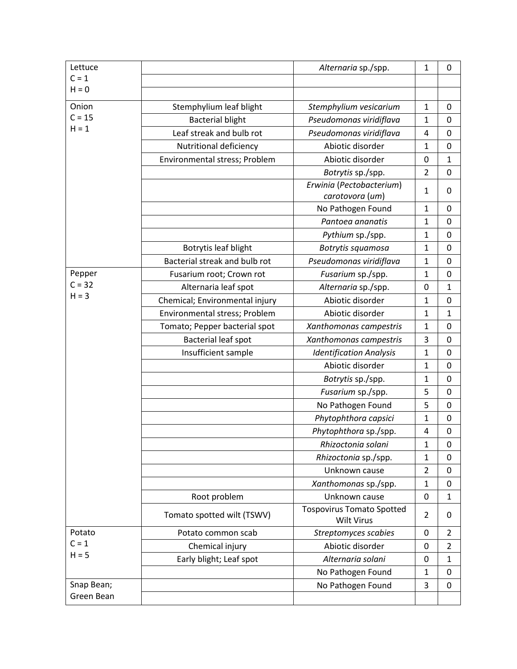| Lettuce    |                                | Alternaria sp./spp.                                   | $\mathbf 1$    | 0              |
|------------|--------------------------------|-------------------------------------------------------|----------------|----------------|
| $C = 1$    |                                |                                                       |                |                |
| $H = 0$    |                                |                                                       |                |                |
| Onion      | Stemphylium leaf blight        | Stemphylium vesicarium                                | $\mathbf 1$    | 0              |
| $C = 15$   | <b>Bacterial blight</b>        | Pseudomonas viridiflava                               | $\mathbf 1$    | $\mathbf 0$    |
| $H = 1$    | Leaf streak and bulb rot       | Pseudomonas viridiflava                               | 4              | $\mathbf 0$    |
|            | Nutritional deficiency         | Abiotic disorder                                      | $\mathbf{1}$   | 0              |
|            | Environmental stress; Problem  | Abiotic disorder                                      | 0              | 1              |
|            |                                | Botrytis sp./spp.                                     | $\overline{2}$ | 0              |
|            |                                | Erwinia (Pectobacterium)<br>carotovora (um)           | $\mathbf 1$    | 0              |
|            |                                | No Pathogen Found                                     | $\mathbf{1}$   | 0              |
|            |                                | Pantoea ananatis                                      | 1              | 0              |
|            |                                | Pythium sp./spp.                                      | $\mathbf{1}$   | 0              |
|            | Botrytis leaf blight           | Botrytis squamosa                                     | 1              | $\mathbf{0}$   |
|            | Bacterial streak and bulb rot  | Pseudomonas viridiflava                               | $\mathbf 1$    | $\mathbf 0$    |
| Pepper     | Fusarium root; Crown rot       | Fusarium sp./spp.                                     | $\mathbf{1}$   | $\mathbf 0$    |
| $C = 32$   | Alternaria leaf spot           | Alternaria sp./spp.                                   | $\mathbf 0$    | $\mathbf{1}$   |
| $H = 3$    | Chemical; Environmental injury | Abiotic disorder                                      | 1              | $\mathbf 0$    |
|            | Environmental stress; Problem  | Abiotic disorder                                      | $\mathbf{1}$   | 1              |
|            | Tomato; Pepper bacterial spot  | Xanthomonas campestris                                | 1              | 0              |
|            | <b>Bacterial leaf spot</b>     | Xanthomonas campestris                                | 3              | 0              |
|            | Insufficient sample            | <b>Identification Analysis</b>                        | $\mathbf{1}$   | $\mathbf 0$    |
|            |                                | Abiotic disorder                                      | $\mathbf{1}$   | 0              |
|            |                                | Botrytis sp./spp.                                     | $\mathbf 1$    | 0              |
|            |                                | Fusarium sp./spp.                                     | 5              | $\mathbf 0$    |
|            |                                | No Pathogen Found                                     | 5              | 0              |
|            |                                | Phytophthora capsici                                  | $\mathbf{1}$   | $\mathbf 0$    |
|            |                                | Phytophthora sp./spp.                                 | 4              | 0              |
|            |                                | Rhizoctonia solani                                    | $\mathbf 1$    | 0              |
|            |                                | Rhizoctonia sp./spp.                                  | $\mathbf 1$    | 0              |
|            |                                | Unknown cause                                         | $\overline{2}$ | 0              |
|            |                                | Xanthomonas sp./spp.                                  | $\mathbf 1$    | 0              |
|            | Root problem                   | Unknown cause                                         | 0              | 1              |
|            | Tomato spotted wilt (TSWV)     | <b>Tospovirus Tomato Spotted</b><br><b>Wilt Virus</b> | $\overline{2}$ | 0              |
| Potato     | Potato common scab             | Streptomyces scabies                                  | 0              | 2              |
| $C = 1$    | Chemical injury                | Abiotic disorder                                      | $\mathbf 0$    | $\overline{2}$ |
| $H = 5$    | Early blight; Leaf spot        | Alternaria solani                                     | 0              | 1              |
|            |                                | No Pathogen Found                                     | 1              | 0              |
| Snap Bean; |                                | No Pathogen Found                                     | 3              | $\mathbf 0$    |
| Green Bean |                                |                                                       |                |                |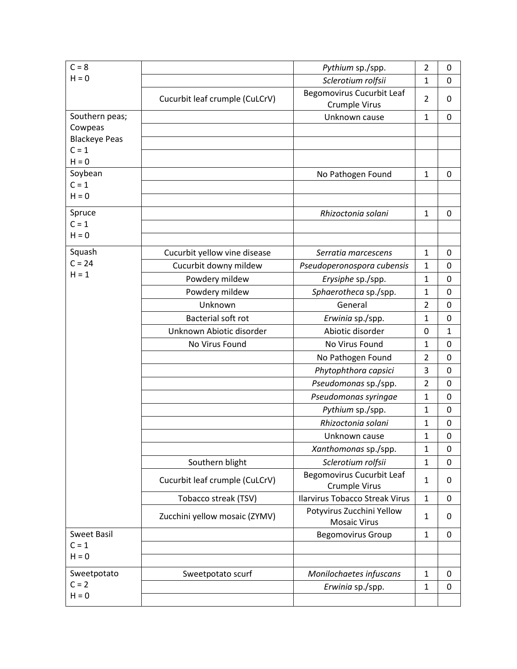| $C = 8$              |                                | Pythium sp./spp.                                         | $\overline{2}$ | 0           |
|----------------------|--------------------------------|----------------------------------------------------------|----------------|-------------|
| $H = 0$              |                                | Sclerotium rolfsii                                       | 1              | $\mathbf 0$ |
|                      |                                | <b>Begomovirus Cucurbit Leaf</b>                         |                |             |
|                      | Cucurbit leaf crumple (CuLCrV) | Crumple Virus                                            | $\overline{2}$ | 0           |
| Southern peas;       |                                | Unknown cause                                            | $\mathbf{1}$   | 0           |
| Cowpeas              |                                |                                                          |                |             |
| <b>Blackeye Peas</b> |                                |                                                          |                |             |
| $C = 1$<br>$H = 0$   |                                |                                                          |                |             |
| Soybean              |                                | No Pathogen Found                                        | $\mathbf{1}$   | 0           |
| $C = 1$              |                                |                                                          |                |             |
| $H = 0$              |                                |                                                          |                |             |
| Spruce               |                                | Rhizoctonia solani                                       | $\mathbf{1}$   | 0           |
| $C = 1$              |                                |                                                          |                |             |
| $H = 0$              |                                |                                                          |                |             |
| Squash               | Cucurbit yellow vine disease   | Serratia marcescens                                      | $\mathbf{1}$   | 0           |
| $C = 24$             | Cucurbit downy mildew          | Pseudoperonospora cubensis                               | $\mathbf{1}$   | 0           |
| $H = 1$              | Powdery mildew                 | Erysiphe sp./spp.                                        | 1              | 0           |
|                      | Powdery mildew                 | Sphaerotheca sp./spp.                                    | $\mathbf{1}$   | $\mathbf 0$ |
|                      | Unknown                        | General                                                  | $\overline{2}$ | $\mathbf 0$ |
|                      | Bacterial soft rot             | Erwinia sp./spp.                                         | $\mathbf{1}$   | 0           |
|                      | Unknown Abiotic disorder       | Abiotic disorder                                         | 0              | 1           |
|                      | No Virus Found                 | No Virus Found                                           | $\mathbf 1$    | 0           |
|                      |                                | No Pathogen Found                                        | $\overline{2}$ | 0           |
|                      |                                | Phytophthora capsici                                     | 3              | 0           |
|                      |                                | Pseudomonas sp./spp.                                     | $\overline{2}$ | $\mathbf 0$ |
|                      |                                | Pseudomonas syringae                                     | 1              | $\mathbf 0$ |
|                      |                                | Pythium sp./spp.                                         | $\mathbf 1$    | 0           |
|                      |                                | Rhizoctonia solani                                       | $\mathbf{1}$   | $\mathbf 0$ |
|                      |                                | Unknown cause                                            | 1              | 0           |
|                      |                                | Xanthomonas sp./spp.                                     | $\mathbf{1}$   | 0           |
|                      | Southern blight                | Sclerotium rolfsii                                       | $\mathbf{1}$   | $\mathbf 0$ |
|                      | Cucurbit leaf crumple (CuLCrV) | <b>Begomovirus Cucurbit Leaf</b><br><b>Crumple Virus</b> | $\mathbf{1}$   | 0           |
|                      | Tobacco streak (TSV)           | <b>Ilarvirus Tobacco Streak Virus</b>                    | $\mathbf{1}$   | 0           |
|                      |                                | Potyvirus Zucchini Yellow                                | $\mathbf{1}$   | 0           |
|                      | Zucchini yellow mosaic (ZYMV)  | <b>Mosaic Virus</b>                                      |                |             |
| <b>Sweet Basil</b>   |                                | <b>Begomovirus Group</b>                                 | $\mathbf{1}$   | 0           |
| $C = 1$<br>$H = 0$   |                                |                                                          |                |             |
|                      |                                |                                                          |                |             |
| Sweetpotato          | Sweetpotato scurf              | Monilochaetes infuscans                                  | $\mathbf{1}$   | 0           |
| $C = 2$              |                                | Erwinia sp./spp.                                         | $\mathbf{1}$   | $\mathbf 0$ |
| $H = 0$              |                                |                                                          |                |             |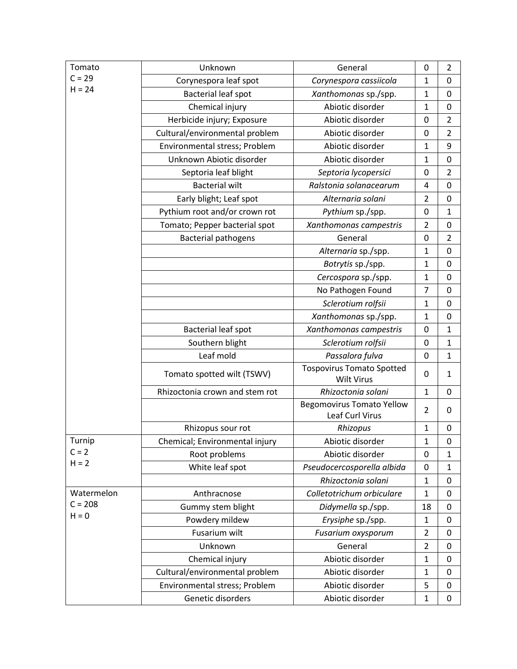| Tomato     | Unknown                        | General                                             | $\mathbf 0$      | $\overline{2}$   |
|------------|--------------------------------|-----------------------------------------------------|------------------|------------------|
| $C = 29$   | Corynespora leaf spot          | Corynespora cassiicola                              | 1                | 0                |
| $H = 24$   | <b>Bacterial leaf spot</b>     | Xanthomonas sp./spp.                                | $\mathbf{1}$     | $\mathbf 0$      |
|            | Chemical injury                | Abiotic disorder                                    | $\mathbf 1$      | $\mathbf 0$      |
|            | Herbicide injury; Exposure     | Abiotic disorder                                    | $\mathbf 0$      | $\overline{2}$   |
|            | Cultural/environmental problem | Abiotic disorder                                    | 0                | $\overline{2}$   |
|            | Environmental stress; Problem  | Abiotic disorder                                    | $\mathbf 1$      | 9                |
|            | Unknown Abiotic disorder       | Abiotic disorder                                    | $\mathbf 1$      | 0                |
|            | Septoria leaf blight           | Septoria lycopersici                                | 0                | $\overline{2}$   |
|            | <b>Bacterial wilt</b>          | Ralstonia solanacearum                              | 4                | 0                |
|            | Early blight; Leaf spot        | Alternaria solani                                   | $\overline{2}$   | $\mathbf 0$      |
|            | Pythium root and/or crown rot  | Pythium sp./spp.                                    | $\mathbf 0$      | 1                |
|            | Tomato; Pepper bacterial spot  | Xanthomonas campestris                              | $\overline{2}$   | $\mathbf 0$      |
|            | <b>Bacterial pathogens</b>     | General                                             | 0                | $\overline{2}$   |
|            |                                | Alternaria sp./spp.                                 | $\mathbf{1}$     | $\mathbf 0$      |
|            |                                | Botrytis sp./spp.                                   | $\mathbf 1$      | $\mathbf 0$      |
|            |                                | Cercospora sp./spp.                                 | 1                | 0                |
|            |                                | No Pathogen Found                                   | $\overline{7}$   | 0                |
|            |                                | Sclerotium rolfsii                                  | $\mathbf{1}$     | 0                |
|            |                                | Xanthomonas sp./spp.                                | $\mathbf 1$      | 0                |
|            | Bacterial leaf spot            | Xanthomonas campestris                              | 0                | 1                |
|            | Southern blight                | Sclerotium rolfsii                                  | $\mathbf 0$      | $\mathbf{1}$     |
|            | Leaf mold                      | Passalora fulva                                     | $\boldsymbol{0}$ | 1                |
|            | Tomato spotted wilt (TSWV)     | <b>Tospovirus Tomato Spotted</b><br>Wilt Virus      | 0                | 1                |
|            | Rhizoctonia crown and stem rot | Rhizoctonia solani                                  | $\mathbf{1}$     | $\mathbf 0$      |
|            |                                | <b>Begomovirus Tomato Yellow</b><br>Leaf Curl Virus | $\overline{2}$   | 0                |
|            | Rhizopus sour rot              | Rhizopus                                            | $\mathbf{1}$     | $\boldsymbol{0}$ |
| Turnip     | Chemical; Environmental injury | Abiotic disorder                                    | 1                | 0                |
| $C = 2$    | Root problems                  | Abiotic disorder                                    | $\mathbf 0$      | 1                |
| $H = 2$    | White leaf spot                | Pseudocercosporella albida                          | 0                | $\mathbf{1}$     |
|            |                                | Rhizoctonia solani                                  | $\mathbf{1}$     | 0                |
| Watermelon | Anthracnose                    | Colletotrichum orbiculare                           | $\mathbf 1$      | $\mathbf 0$      |
| $C = 208$  | Gummy stem blight              | Didymella sp./spp.                                  | 18               | 0                |
| $H = 0$    | Powdery mildew                 | Erysiphe sp./spp.                                   | $\mathbf{1}$     | $\mathbf 0$      |
|            | Fusarium wilt                  | Fusarium oxysporum                                  | $\overline{2}$   | $\mathbf 0$      |
|            | Unknown                        | General                                             | $\overline{2}$   | $\mathbf 0$      |
|            | Chemical injury                | Abiotic disorder                                    | $\mathbf{1}$     | 0                |
|            | Cultural/environmental problem | Abiotic disorder                                    | $\mathbf{1}$     | 0                |
|            | Environmental stress; Problem  | Abiotic disorder                                    | 5                | $\pmb{0}$        |
|            | Genetic disorders              | Abiotic disorder                                    | 1                | 0                |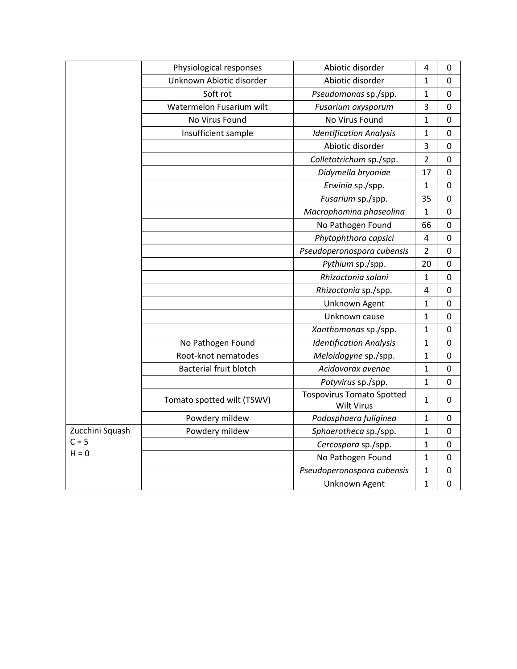|                 | Physiological responses       | Abiotic disorder                                      | 4                       | 0           |
|-----------------|-------------------------------|-------------------------------------------------------|-------------------------|-------------|
|                 | Unknown Abiotic disorder      | Abiotic disorder                                      | 1                       | 0           |
|                 | Soft rot                      | Pseudomonas sp./spp.                                  | 1                       | $\mathbf 0$ |
|                 | Watermelon Fusarium wilt      | Fusarium oxysporum                                    | 3                       | 0           |
|                 | No Virus Found                | No Virus Found                                        | 1                       | $\mathbf 0$ |
|                 | Insufficient sample           | <b>Identification Analysis</b>                        | $\mathbf 1$             | 0           |
|                 |                               | Abiotic disorder                                      | 3                       | 0           |
|                 |                               | Colletotrichum sp./spp.                               | $\overline{2}$          | $\pmb{0}$   |
|                 |                               | Didymella bryoniae                                    | 17                      | $\mathbf 0$ |
|                 |                               | Erwinia sp./spp.                                      | $\mathbf 1$             | $\mathbf 0$ |
|                 |                               | Fusarium sp./spp.                                     | 35                      | 0           |
|                 |                               | Macrophomina phaseolina                               | 1                       | 0           |
|                 |                               | No Pathogen Found                                     | 66                      | 0           |
|                 |                               | Phytophthora capsici                                  | 4                       | 0           |
|                 |                               | Pseudoperonospora cubensis                            | $\overline{2}$          | 0           |
|                 |                               | Pythium sp./spp.                                      | 20                      | $\mathbf 0$ |
|                 |                               | Rhizoctonia solani                                    | $\mathbf{1}$            | $\mathbf 0$ |
|                 |                               | Rhizoctonia sp./spp.                                  | $\overline{\mathbf{4}}$ | 0           |
|                 |                               | Unknown Agent                                         | $\mathbf 1$             | $\pmb{0}$   |
|                 |                               | Unknown cause                                         | 1                       | 0           |
|                 |                               | Xanthomonas sp./spp.                                  | $\mathbf{1}$            | $\mathbf 0$ |
|                 | No Pathogen Found             | <b>Identification Analysis</b>                        | 1                       | 0           |
|                 | Root-knot nematodes           | Meloidogyne sp./spp.                                  | $\mathbf{1}$            | 0           |
|                 | <b>Bacterial fruit blotch</b> | Acidovorax avenae                                     | 1                       | 0           |
|                 |                               | Potyvirus sp./spp.                                    | $\mathbf 1$             | 0           |
|                 | Tomato spotted wilt (TSWV)    | <b>Tospovirus Tomato Spotted</b><br><b>Wilt Virus</b> | 1                       | 0           |
|                 | Powdery mildew                | Podosphaera fuliginea                                 | $\mathbf 1$             | $\pmb{0}$   |
| Zucchini Squash | Powdery mildew                | Sphaerotheca sp./spp.                                 | $\mathbf 1$             | $\mathbf 0$ |
| $C = 5$         |                               | Cercospora sp./spp.                                   | $\mathbf{1}$            | 0           |
| $H = 0$         |                               | No Pathogen Found                                     | $\mathbf{1}$            | 0           |
|                 |                               | Pseudoperonospora cubensis                            | 1                       | 0           |
|                 |                               | Unknown Agent                                         | 1                       | 0           |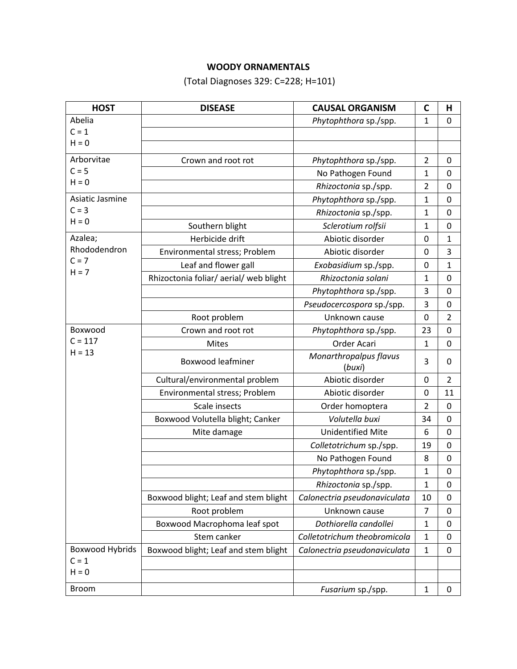# **WOODY ORNAMENTALS**

(Total Diagnoses 329: C=228; H=101)

| <b>HOST</b>     | <b>DISEASE</b>                       | <b>CAUSAL ORGANISM</b>           | C                | Н                |
|-----------------|--------------------------------------|----------------------------------|------------------|------------------|
| Abelia          |                                      | Phytophthora sp./spp.            | 1                | 0                |
| $C = 1$         |                                      |                                  |                  |                  |
| $H = 0$         |                                      |                                  |                  |                  |
| Arborvitae      | Crown and root rot                   | Phytophthora sp./spp.            | $\overline{2}$   | 0                |
| $C = 5$         |                                      | No Pathogen Found                | 1                | $\mathbf 0$      |
| $H = 0$         |                                      | Rhizoctonia sp./spp.             | $\overline{2}$   | $\mathbf 0$      |
| Asiatic Jasmine |                                      | Phytophthora sp./spp.            | 1                | 0                |
| $C = 3$         |                                      | Rhizoctonia sp./spp.             | $\mathbf{1}$     | $\mathbf 0$      |
| $H = 0$         | Southern blight                      | Sclerotium rolfsii               | 1                | $\boldsymbol{0}$ |
| Azalea;         | Herbicide drift                      | Abiotic disorder                 | 0                | $\mathbf{1}$     |
| Rhododendron    | Environmental stress; Problem        | Abiotic disorder                 | 0                | 3                |
| $C = 7$         | Leaf and flower gall                 | Exobasidium sp./spp.             | $\boldsymbol{0}$ | $\mathbf{1}$     |
| $H = 7$         | Rhizoctonia foliar/aerial/web blight | Rhizoctonia solani               | 1                | 0                |
|                 |                                      | Phytophthora sp./spp.            | 3                | 0                |
|                 |                                      | Pseudocercospora sp./spp.        | 3                | $\mathbf 0$      |
|                 | Root problem                         | Unknown cause                    | 0                | $\overline{2}$   |
| Boxwood         | Crown and root rot                   | Phytophthora sp./spp.            | 23               | $\mathbf 0$      |
| $C = 117$       | <b>Mites</b>                         | Order Acari                      | $\mathbf{1}$     | $\mathbf 0$      |
| $H = 13$        | <b>Boxwood leafminer</b>             | Monarthropalpus flavus<br>(buxi) | 3                | 0                |
|                 | Cultural/environmental problem       | Abiotic disorder                 | 0                | $\overline{2}$   |
|                 | Environmental stress; Problem        | Abiotic disorder                 | $\boldsymbol{0}$ | 11               |
|                 | Scale insects                        | Order homoptera                  | $\overline{2}$   | $\mathbf 0$      |
|                 | Boxwood Volutella blight; Canker     | Volutella buxi                   | 34               | $\mathbf 0$      |
|                 | Mite damage                          | <b>Unidentified Mite</b>         | 6                | 0                |
|                 |                                      | Colletotrichum sp./spp.          | 19               | 0                |
|                 |                                      | No Pathogen Found                | 8                | 0                |
|                 |                                      | Phytophthora sp./spp.            | 1                | $\boldsymbol{0}$ |
|                 |                                      | Rhizoctonia sp./spp.             | 1                | 0                |
|                 | Boxwood blight; Leaf and stem blight | Calonectria pseudonaviculata     | 10               | $\mathbf 0$      |
|                 | Root problem                         | Unknown cause                    | $\overline{7}$   | $\mathbf 0$      |
|                 | Boxwood Macrophoma leaf spot         | Dothiorella candollei            | 1                | 0                |
|                 | Stem canker                          | Colletotrichum theobromicola     | 1                | $\mathbf 0$      |
| Boxwood Hybrids | Boxwood blight; Leaf and stem blight | Calonectria pseudonaviculata     | $\mathbf{1}$     | 0                |
| $C = 1$         |                                      |                                  |                  |                  |
| $H = 0$         |                                      |                                  |                  |                  |
| <b>Broom</b>    |                                      | Fusarium sp./spp.                | $\mathbf{1}$     | 0                |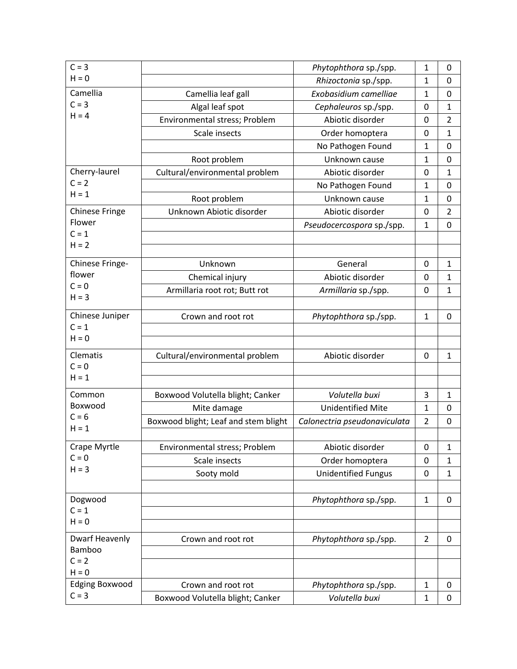| $C = 3$                          |                                      | Phytophthora sp./spp.        | 1              | 0              |
|----------------------------------|--------------------------------------|------------------------------|----------------|----------------|
| $H = 0$                          |                                      | Rhizoctonia sp./spp.         | 1              | 0              |
| Camellia                         | Camellia leaf gall                   | Exobasidium camelliae        | $\mathbf{1}$   | $\mathbf 0$    |
| $C = 3$                          | Algal leaf spot                      | Cephaleuros sp./spp.         | 0              | 1              |
| $H = 4$                          | Environmental stress; Problem        | Abiotic disorder             | 0              | $\overline{2}$ |
|                                  | Scale insects                        | Order homoptera              | 0              | 1              |
|                                  |                                      | No Pathogen Found            | 1              | 0              |
|                                  | Root problem                         | Unknown cause                | $\mathbf{1}$   | $\mathbf 0$    |
| Cherry-laurel                    | Cultural/environmental problem       | Abiotic disorder             | 0              | 1              |
| $C = 2$                          |                                      | No Pathogen Found            | $\mathbf{1}$   | 0              |
| $H = 1$                          | Root problem                         | Unknown cause                | 1              | 0              |
| <b>Chinese Fringe</b>            | Unknown Abiotic disorder             | Abiotic disorder             | 0              | $\overline{2}$ |
| Flower                           |                                      | Pseudocercospora sp./spp.    | $\mathbf{1}$   | 0              |
| $C = 1$                          |                                      |                              |                |                |
| $H = 2$                          |                                      |                              |                |                |
| Chinese Fringe-                  | Unknown                              | General                      | 0              | 1              |
| flower                           | Chemical injury                      | Abiotic disorder             | 0              | 1              |
| $C = 0$                          | Armillaria root rot; Butt rot        | Armillaria sp./spp.          | 0              | 1              |
| $H = 3$                          |                                      |                              |                |                |
| Chinese Juniper                  | Crown and root rot                   | Phytophthora sp./spp.        | $\mathbf{1}$   | $\mathbf 0$    |
| $C = 1$                          |                                      |                              |                |                |
| $H = 0$                          |                                      |                              |                |                |
| Clematis                         | Cultural/environmental problem       | Abiotic disorder             | 0              | 1              |
| $C = 0$                          |                                      |                              |                |                |
| $H = 1$                          |                                      |                              |                |                |
| Common                           | Boxwood Volutella blight; Canker     | Volutella buxi               | 3              | 1              |
| Boxwood                          | Mite damage                          | <b>Unidentified Mite</b>     | $\mathbf{1}$   | 0              |
| $C = 6$                          | Boxwood blight; Leaf and stem blight | Calonectria pseudonaviculata | $\overline{2}$ | 0              |
| $H = 1$                          |                                      |                              |                |                |
| Crape Myrtle                     | Environmental stress; Problem        | Abiotic disorder             | 0              | $\mathbf 1$    |
| $C = 0$                          | Scale insects                        | Order homoptera              | 0              | 1              |
| $H = 3$                          | Sooty mold                           | <b>Unidentified Fungus</b>   | 0              | $\mathbf{1}$   |
|                                  |                                      |                              |                |                |
| Dogwood                          |                                      | Phytophthora sp./spp.        | $\mathbf{1}$   | 0              |
| $C = 1$                          |                                      |                              |                |                |
| $H = 0$                          |                                      |                              |                |                |
| <b>Dwarf Heavenly</b>            | Crown and root rot                   | Phytophthora sp./spp.        | $\overline{2}$ | 0              |
| Bamboo                           |                                      |                              |                |                |
| $C = 2$                          |                                      |                              |                |                |
| $H = 0$                          |                                      |                              |                |                |
| <b>Edging Boxwood</b><br>$C = 3$ | Crown and root rot                   | Phytophthora sp./spp.        | $\mathbf{1}$   | 0              |
|                                  | Boxwood Volutella blight; Canker     | Volutella buxi               | $\mathbf{1}$   | 0              |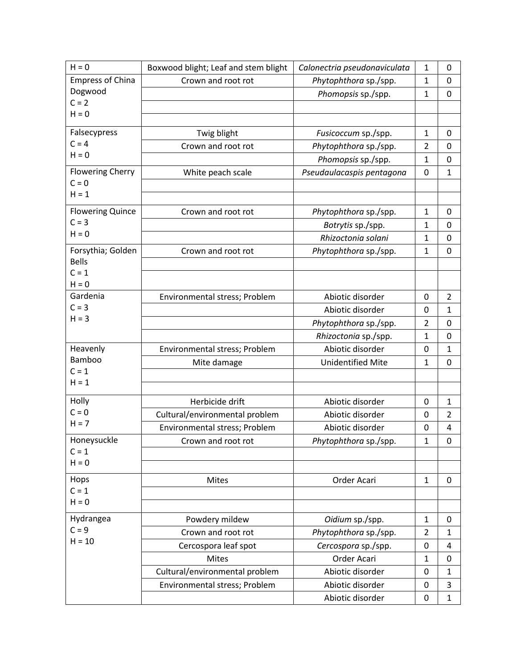| $H = 0$                 | Boxwood blight; Leaf and stem blight | Calonectria pseudonaviculata                 | $\mathbf{1}$        | 0              |
|-------------------------|--------------------------------------|----------------------------------------------|---------------------|----------------|
| <b>Empress of China</b> | Crown and root rot                   | Phytophthora sp./spp.                        | 1                   | 0              |
| Dogwood                 |                                      | Phomopsis sp./spp.                           | $\mathbf{1}$        | $\mathbf 0$    |
| $C = 2$                 |                                      |                                              |                     |                |
| $H = 0$                 |                                      |                                              |                     |                |
| Falsecypress            | Twig blight                          | Fusicoccum sp./spp.                          | $\mathbf{1}$        | 0              |
| $C = 4$                 | Crown and root rot                   | Phytophthora sp./spp.                        | $\overline{2}$      | $\mathbf{0}$   |
| $H = 0$                 |                                      | Phomopsis sp./spp.                           | $\mathbf{1}$        | 0              |
| <b>Flowering Cherry</b> | White peach scale                    | Pseudaulacaspis pentagona                    | 0                   | $\mathbf 1$    |
| $C = 0$                 |                                      |                                              |                     |                |
| $H = 1$                 |                                      |                                              |                     |                |
| <b>Flowering Quince</b> | Crown and root rot                   | Phytophthora sp./spp.                        | 1                   | 0              |
| $C = 3$                 |                                      | Botrytis sp./spp.                            | $\mathbf{1}$        | 0              |
| $H = 0$                 |                                      | Rhizoctonia solani                           | 1                   | 0              |
| Forsythia; Golden       | Crown and root rot                   | Phytophthora sp./spp.                        | $\mathbf{1}$        | $\mathbf 0$    |
| <b>Bells</b>            |                                      |                                              |                     |                |
| $C = 1$                 |                                      |                                              |                     |                |
| $H = 0$<br>Gardenia     |                                      | Abiotic disorder                             |                     | $\overline{2}$ |
| $C = 3$                 | Environmental stress; Problem        | Abiotic disorder                             | 0                   |                |
| $H = 3$                 |                                      |                                              | 0<br>$\overline{2}$ | $\mathbf{1}$   |
|                         |                                      | Phytophthora sp./spp.                        |                     | 0              |
| Heavenly                |                                      | Rhizoctonia sp./spp.                         | 1                   | 0              |
| Bamboo                  | Environmental stress; Problem        | Abiotic disorder<br><b>Unidentified Mite</b> | 0                   | $\mathbf{1}$   |
| $C = 1$                 | Mite damage                          |                                              | 1                   | 0              |
| $H = 1$                 |                                      |                                              |                     |                |
| Holly                   | Herbicide drift                      | Abiotic disorder                             | 0                   | 1              |
| $C = 0$                 | Cultural/environmental problem       | Abiotic disorder                             | 0                   | $\overline{2}$ |
| $H = 7$                 | Environmental stress; Problem        | Abiotic disorder                             | 0                   | 4              |
| Honeysuckle             | Crown and root rot                   | Phytophthora sp./spp.                        | $\mathbf 1$         | $\mathbf 0$    |
| $C = 1$                 |                                      |                                              |                     |                |
| $H = 0$                 |                                      |                                              |                     |                |
| Hops                    | Mites                                | Order Acari                                  | $\mathbf{1}$        | 0              |
| $C = 1$                 |                                      |                                              |                     |                |
| $H = 0$                 |                                      |                                              |                     |                |
| Hydrangea               | Powdery mildew                       | Oidium sp./spp.                              | $\mathbf{1}$        | 0              |
| $C = 9$                 | Crown and root rot                   | Phytophthora sp./spp.                        | $\overline{2}$      | 1              |
| $H = 10$                | Cercospora leaf spot                 | Cercospora sp./spp.                          | 0                   | 4              |
|                         | <b>Mites</b>                         | Order Acari                                  | $\mathbf{1}$        | 0              |
|                         | Cultural/environmental problem       | Abiotic disorder                             | 0                   | $\mathbf{1}$   |
|                         | Environmental stress; Problem        | Abiotic disorder                             | 0                   | 3              |
|                         |                                      | Abiotic disorder                             | 0                   | $\mathbf{1}$   |
|                         |                                      |                                              |                     |                |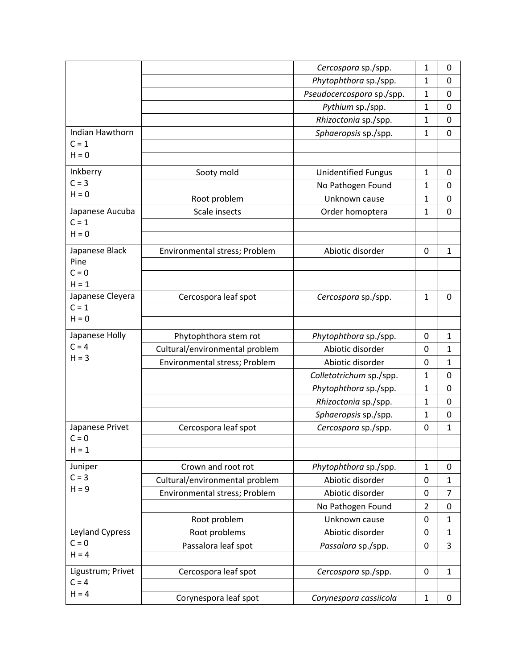|                              |                                | Cercospora sp./spp.        | 1                | 0              |
|------------------------------|--------------------------------|----------------------------|------------------|----------------|
|                              |                                | Phytophthora sp./spp.      | 1                | 0              |
|                              |                                | Pseudocercospora sp./spp.  | 1                | 0              |
|                              |                                | Pythium sp./spp.           | 1                | 0              |
|                              |                                | Rhizoctonia sp./spp.       | 1                | 0              |
| Indian Hawthorn              |                                | Sphaeropsis sp./spp.       | $\mathbf{1}$     | $\mathbf 0$    |
| $C = 1$                      |                                |                            |                  |                |
| $H = 0$                      |                                |                            |                  |                |
| Inkberry                     | Sooty mold                     | <b>Unidentified Fungus</b> | $\mathbf{1}$     | 0              |
| $C = 3$                      |                                | No Pathogen Found          | $\mathbf{1}$     | $\mathbf 0$    |
| $H = 0$                      | Root problem                   | Unknown cause              | 1                | 0              |
| Japanese Aucuba              | Scale insects                  | Order homoptera            | 1                | $\mathbf 0$    |
| $C = 1$                      |                                |                            |                  |                |
| $H = 0$                      |                                |                            |                  |                |
| Japanese Black               | Environmental stress; Problem  | Abiotic disorder           | 0                | 1              |
| Pine                         |                                |                            |                  |                |
| $C = 0$                      |                                |                            |                  |                |
| $H = 1$                      |                                |                            |                  |                |
| Japanese Cleyera             | Cercospora leaf spot           | Cercospora sp./spp.        | $\mathbf{1}$     | $\mathbf 0$    |
| $C = 1$                      |                                |                            |                  |                |
| $H = 0$                      |                                |                            |                  |                |
| Japanese Holly               | Phytophthora stem rot          | Phytophthora sp./spp.      | 0                | 1              |
| $C = 4$                      | Cultural/environmental problem | Abiotic disorder           | $\mathbf 0$      | $\mathbf{1}$   |
| $H = 3$                      | Environmental stress; Problem  | Abiotic disorder           | 0                | 1              |
|                              |                                | Colletotrichum sp./spp.    | $\mathbf{1}$     | 0              |
|                              |                                | Phytophthora sp./spp.      | 1                | $\mathbf 0$    |
|                              |                                | Rhizoctonia sp./spp.       | $\mathbf{1}$     | 0              |
|                              |                                | Sphaeropsis sp./spp.       | 1                | 0              |
| Japanese Privet              | Cercospora leaf spot           | Cercospora sp./spp.        | $\boldsymbol{0}$ | 1              |
| $C = 0$                      |                                |                            |                  |                |
| $H = 1$                      |                                |                            |                  |                |
| Juniper                      | Crown and root rot             | Phytophthora sp./spp.      | $\mathbf{1}$     | 0              |
| $C = 3$                      | Cultural/environmental problem | Abiotic disorder           | 0                | 1              |
| $H = 9$                      | Environmental stress; Problem  | Abiotic disorder           | 0                | $\overline{7}$ |
|                              |                                | No Pathogen Found          | $\overline{2}$   | 0              |
|                              | Root problem                   | Unknown cause              | 0                | $\mathbf{1}$   |
| Leyland Cypress              | Root problems                  | Abiotic disorder           | 0                | 1              |
| $C = 0$                      | Passalora leaf spot            |                            | $\mathbf 0$      | 3              |
| $H = 4$                      |                                | Passalora sp./spp.         |                  |                |
|                              |                                |                            |                  |                |
| Ligustrum; Privet<br>$C = 4$ | Cercospora leaf spot           | Cercospora sp./spp.        | 0                | $\mathbf 1$    |
| $H = 4$                      |                                |                            |                  |                |
|                              | Corynespora leaf spot          | Corynespora cassiicola     | $\mathbf{1}$     | 0              |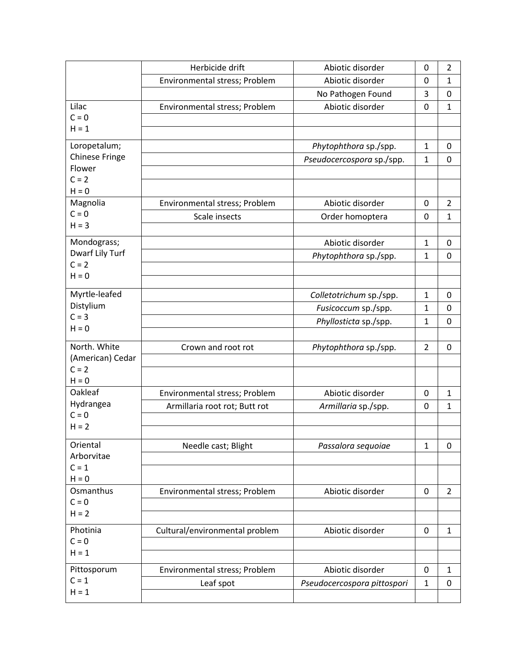|                       | Herbicide drift                | Abiotic disorder            | 0              | 2              |
|-----------------------|--------------------------------|-----------------------------|----------------|----------------|
|                       | Environmental stress; Problem  | Abiotic disorder            | $\Omega$       | $\mathbf{1}$   |
|                       |                                | No Pathogen Found           | 3              | 0              |
| Lilac                 | Environmental stress; Problem  | Abiotic disorder            | $\mathbf 0$    | $\mathbf{1}$   |
| $C = 0$               |                                |                             |                |                |
| $H = 1$               |                                |                             |                |                |
| Loropetalum;          |                                | Phytophthora sp./spp.       | $\mathbf{1}$   | 0              |
| <b>Chinese Fringe</b> |                                | Pseudocercospora sp./spp.   | $\mathbf{1}$   | 0              |
| Flower<br>$C = 2$     |                                |                             |                |                |
| $H = 0$               |                                |                             |                |                |
| Magnolia              | Environmental stress; Problem  | Abiotic disorder            | 0              | $\overline{2}$ |
| $C = 0$               | Scale insects                  | Order homoptera             | $\mathbf 0$    | $\mathbf{1}$   |
| $H = 3$               |                                |                             |                |                |
| Mondograss;           |                                | Abiotic disorder            | $\mathbf{1}$   | 0              |
| Dwarf Lily Turf       |                                | Phytophthora sp./spp.       | $\mathbf{1}$   | $\mathbf 0$    |
| $C = 2$               |                                |                             |                |                |
| $H = 0$               |                                |                             |                |                |
| Myrtle-leafed         |                                | Colletotrichum sp./spp.     | $\mathbf{1}$   | 0              |
| Distylium             |                                | Fusicoccum sp./spp.         | $\mathbf{1}$   | $\mathbf 0$    |
| $C = 3$               |                                | Phyllosticta sp./spp.       | 1              | $\mathbf 0$    |
| $H = 0$               |                                |                             |                |                |
| North. White          | Crown and root rot             | Phytophthora sp./spp.       | $\overline{2}$ | $\mathbf 0$    |
| (American) Cedar      |                                |                             |                |                |
| $C = 2$               |                                |                             |                |                |
| $H = 0$<br>Oakleaf    |                                |                             |                |                |
| Hydrangea             | Environmental stress; Problem  | Abiotic disorder            | $\mathbf 0$    | 1              |
| $C = 0$               | Armillaria root rot; Butt rot  | Armillaria sp./spp.         | 0              | $\mathbf{1}$   |
| $H = 2$               |                                |                             |                |                |
| Oriental              | Needle cast; Blight            | Passalora sequoiae          | $\mathbf{1}$   | 0              |
| Arborvitae            |                                |                             |                |                |
| $C = 1$               |                                |                             |                |                |
| $H = 0$               |                                |                             |                |                |
| Osmanthus             | Environmental stress; Problem  | Abiotic disorder            | $\mathbf 0$    | $\overline{2}$ |
| $C = 0$               |                                |                             |                |                |
| $H = 2$               |                                |                             |                |                |
| Photinia              | Cultural/environmental problem | Abiotic disorder            | 0              | $\mathbf{1}$   |
| $C = 0$               |                                |                             |                |                |
| $H = 1$               |                                |                             |                |                |
| Pittosporum           | Environmental stress; Problem  | Abiotic disorder            | 0              | 1              |
| $C = 1$               | Leaf spot                      | Pseudocercospora pittospori | $\mathbf{1}$   | $\mathbf 0$    |
| $H = 1$               |                                |                             |                |                |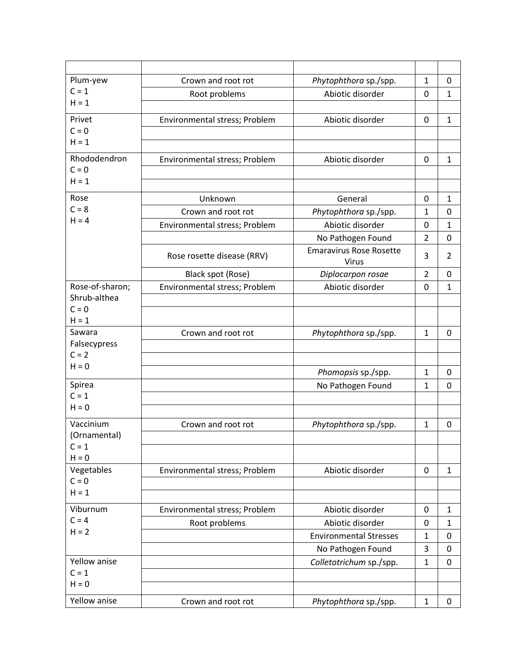| Plum-yew           | Crown and root rot            | Phytophthora sp./spp.                   | $\mathbf{1}$   | 0              |
|--------------------|-------------------------------|-----------------------------------------|----------------|----------------|
| $C = 1$            | Root problems                 | Abiotic disorder                        | 0              | $\mathbf 1$    |
| $H = 1$            |                               |                                         |                |                |
| Privet             | Environmental stress; Problem | Abiotic disorder                        | $\mathbf 0$    | $\mathbf{1}$   |
| $C = 0$            |                               |                                         |                |                |
| $H = 1$            |                               |                                         |                |                |
| Rhododendron       | Environmental stress; Problem | Abiotic disorder                        | 0              | $\mathbf 1$    |
| $C = 0$            |                               |                                         |                |                |
| $H = 1$            |                               |                                         |                |                |
| Rose               | Unknown                       | General                                 | 0              | $\mathbf{1}$   |
| $C = 8$            | Crown and root rot            | Phytophthora sp./spp.                   | 1              | $\mathbf 0$    |
| $H = 4$            | Environmental stress; Problem | Abiotic disorder                        | 0              | $\mathbf{1}$   |
|                    |                               | No Pathogen Found                       | $\overline{2}$ | $\mathbf 0$    |
|                    | Rose rosette disease (RRV)    | <b>Emaravirus Rose Rosette</b><br>Virus | 3              | $\overline{2}$ |
|                    | Black spot (Rose)             | Diplocarpon rosae                       | $\overline{2}$ | 0              |
| Rose-of-sharon:    | Environmental stress; Problem | Abiotic disorder                        | 0              | $\mathbf{1}$   |
| Shrub-althea       |                               |                                         |                |                |
| $C = 0$            |                               |                                         |                |                |
| $H = 1$<br>Sawara  | Crown and root rot            |                                         | $\mathbf{1}$   | $\mathbf 0$    |
| Falsecypress       |                               | Phytophthora sp./spp.                   |                |                |
| $C = 2$            |                               |                                         |                |                |
| $H = 0$            |                               | Phomopsis sp./spp.                      | $\mathbf{1}$   | 0              |
| Spirea             |                               | No Pathogen Found                       | $\mathbf{1}$   | 0              |
| $C = 1$            |                               |                                         |                |                |
| $H = 0$            |                               |                                         |                |                |
| Vaccinium          | Crown and root rot            | Phytophthora sp./spp.                   | $\mathbf{1}$   | 0              |
| (Ornamental)       |                               |                                         |                |                |
| $C = 1$            |                               |                                         |                |                |
| $H = 0$            |                               |                                         |                |                |
| Vegetables         | Environmental stress; Problem | Abiotic disorder                        | $\mathbf 0$    | $\mathbf{1}$   |
| $C = 0$<br>$H = 1$ |                               |                                         |                |                |
|                    |                               |                                         |                |                |
| Viburnum           | Environmental stress; Problem | Abiotic disorder                        | 0              | $\mathbf{1}$   |
| $C = 4$<br>$H = 2$ | Root problems                 | Abiotic disorder                        | 0              | $\mathbf{1}$   |
|                    |                               | <b>Environmental Stresses</b>           | $\mathbf{1}$   | 0              |
|                    |                               | No Pathogen Found                       | 3              | 0              |
| Yellow anise       |                               | Colletotrichum sp./spp.                 | $\mathbf{1}$   | 0              |
| $C = 1$<br>$H = 0$ |                               |                                         |                |                |
|                    |                               |                                         |                |                |
| Yellow anise       | Crown and root rot            | Phytophthora sp./spp.                   | $\mathbf{1}$   | 0              |